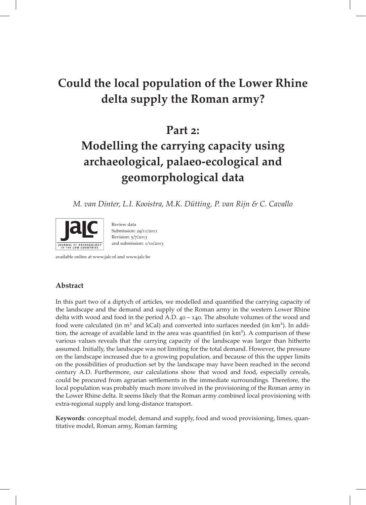# Could the local population of the Lower Rhine delta supply the Roman army?

# Part 2:

# Modelling the carrying capacity using archaeological, palaeo-ecological and geomorphological data

M. van Dinter, L.I. Kooistra, M.K. Dütting, P. van Rijn & C. Cavallo



Review data Submission: 29/11/2011 Revision: 5/7/2013  $2nd$  submission:  $1/10/2013$ 

available online at www.jalc.nl and www.jalc.be

# Abstract

In this part two of a diptych of articles, we modelled and quantified the carrying capacity of the landscape and the demand and supply of the Roman army in the western Lower Rhine delta with wood and food in the period A.D.  $40 - 140$ . The absolute volumes of the wood and food were calculated (in m<sup>3</sup> and kCal) and converted into surfaces needed (in km<sup>2</sup>). In addition, the acreage of available land in the area was quantified (in km<sup>2</sup>). A comparison of these various values reveals that the carrying capacity of the landscape was larger than hitherto assumed. Initially, the landscape was not limiting for the total demand. However, the pressure on the landscape increased due to a growing population, and because of this the upper limits on the possibilities of production set by the landscape may have been reached in the second century A.D. Furthermore, our calculations show that wood and food, especially cereals, could be procured from agrarian settlements in the immediate surroundings. Therefore, the local population was probably much more involved in the provisioning of the Roman army in the Lower Rhine delta. It seems likely that the Roman army combined local provisioning with extra-regional supply and long-distance transport.

Keywords: conceptual model, demand and supply, food and wood provisioning, limes, quantitative model, Roman army, Roman farming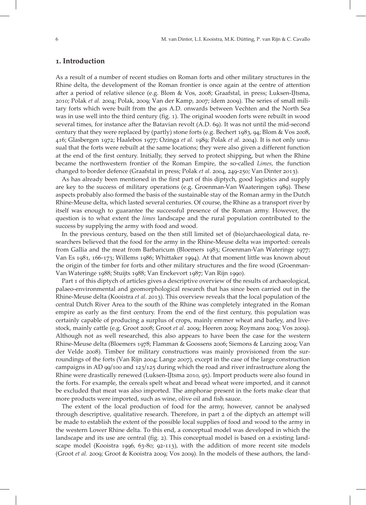#### . Introduction

As a result of a number of recent studies on Roman forts and other military structures in the Rhine delta, the development of the Roman frontier is once again at the centre of attention after a period of relative silence (e.g. Blom & Vos, 2008; Graafstal, in press; Luksen-IJtsma, 2010; Polak et al. 2004; Polak, 2009; Van der Kamp, 2007; idem 2009). The series of small military forts which were built from the 40s A.D. onwards between Vechten and the North Sea was in use well into the third century (fig. 1). The original wooden forts were rebuilt in wood several times, for instance after the Batavian revolt (A.D. 69). It was not until the mid-second century that they were replaced by (partly) stone forts (e.g. Bechert 1983, 94; Blom & Vos 2008, 416; Glasbergen 1972; Haalebos 1977; Ozinga et al. 1989; Polak et al. 2004). It is not only unusual that the forts were rebuilt at the same locations; they were also given a different function at the end of the first century. Initially, they served to protect shipping, but when the Rhine became the northwestern frontier of the Roman Empire, the so-called Limes, the function changed to border defence (Graafstal in press; Polak et al. 2004, 249-250; Van Dinter 2013).

As has already been mentioned in the first part of this diptych, good logistics and supply are key to the success of military operations (e.g. Groenman-Van Waateringen 1989). These aspects probably also formed the basis of the sustainable stay of the Roman army in the Dutch Rhine-Meuse delta, which lasted several centuries. Of course, the Rhine as a transport river by itself was enough to guarantee the successful presence of the Roman army. However, the question is to what extent the limes landscape and the rural population contributed to the success by supplying the army with food and wood.

In the previous century, based on the then still limited set of (bio)archaeological data, researchers believed that the food for the army in the Rhine-Meuse delta was imported: cereals from Gallia and the meat from Barbaricum (Bloemers 1983; Groenman-Van Wateringe 1977; Van Es 1981, 166-173; Willems 1986; Whittaker 1994). At that moment little was known about the origin of the timber for forts and other military structures and the fire wood (Groenman-Van Wateringe 1988; Stuijts 1988; Van Enckevort 1987; Van Rijn 1990).

Part 1 of this diptych of articles gives a descriptive overview of the results of archaeological, palaeo-environmental and geomorphological research that has since been carried out in the Rhine-Meuse delta (Kooistra et al. 2013). This overview reveals that the local population of the central Dutch River Area to the south of the Rhine was completely integrated in the Roman empire as early as the first century. From the end of the first century, this population was certainly capable of producing a surplus of crops, mainly emmer wheat and barley, and livestock, mainly cattle (e.g. Groot 2008; Groot et al. 2009; Heeren 2009; Roymans 2004; Vos 2009). Although not as well researched, this also appears to have been the case for the western Rhine-Meuse delta (Bloemers 1978; Flamman & Goossens 2006; Siemons & Lanzing 2009; Van der Velde 2008). Timber for military constructions was mainly provisioned from the surroundings of the forts (Van Rijn 2004; Lange 2007), except in the case of the large construction campaigns in AD 99/100 and 123/125 during which the road and river infrastructure along the Rhine were drastically renewed (Luksen-IJtsma 2010, 95). Import products were also found in the forts. For example, the cereals spelt wheat and bread wheat were imported, and it cannot be excluded that meat was also imported. The amphorae present in the forts make clear that more products were imported, such as wine, olive oil and fish sauce.

The extent of the local production of food for the army, however, cannot be analysed through descriptive, qualitative research. Therefore, in part  $2$  of the diptych an attempt will be made to establish the extent of the possible local supplies of food and wood to the army in the western Lower Rhine delta. To this end, a conceptual model was developed in which the landscape and its use are central (fig. 2). This conceptual model is based on a existing landscape model (Kooistra 1996, 63-80; 92-113), with the addition of more recent site models (Groot et al. 2009; Groot & Kooistra 2009; Vos 2009). In the models of these authors, the land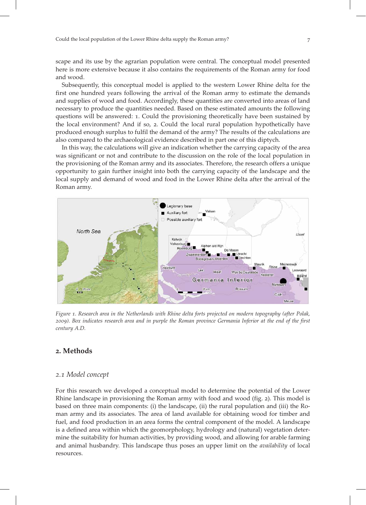scape and its use by the agrarian population were central. The conceptual model presented here is more extensive because it also contains the requirements of the Roman army for food and wood.

Subsequently, this conceptual model is applied to the western Lower Rhine delta for the first one hundred years following the arrival of the Roman army to estimate the demands and supplies of wood and food. Accordingly, these quantities are converted into areas of land necessary to produce the quantities needed. Based on these estimated amounts the following questions will be answered: . Could the provisioning theoretically have been sustained by the local environment? And if so, 2. Could the local rural population hypothetically have produced enough surplus to fulfil the demand of the army? The results of the calculations are also compared to the archaeological evidence described in part one of this diptych.

In this way, the calculations will give an indication whether the carrying capacity of the area was significant or not and contribute to the discussion on the role of the local population in the provisioning of the Roman army and its associates. Therefore, the research offers a unique opportunity to gain further insight into both the carrying capacity of the landscape and the local supply and demand of wood and food in the Lower Rhine delta after the arrival of the Roman army.



Figure 1. Research area in the Netherlands with Rhine delta forts projected on modern topography (after Polak, ). Box indicates research area and in purple the Roman province Germania Inferior at the end of the first century A.D.

# . Methods

#### 2.1 Model concept

For this research we developed a conceptual model to determine the potential of the Lower Rhine landscape in provisioning the Roman army with food and wood (fig. 2). This model is based on three main components: (i) the landscape, (ii) the rural population and (iii) the Roman army and its associates. The area of land available for obtaining wood for timber and fuel, and food production in an area forms the central component of the model. A landscape is a defined area within which the geomorphology, hydrology and (natural) vegetation determine the suitability for human activities, by providing wood, and allowing for arable farming and animal husbandry. This landscape thus poses an upper limit on the availability of local resources.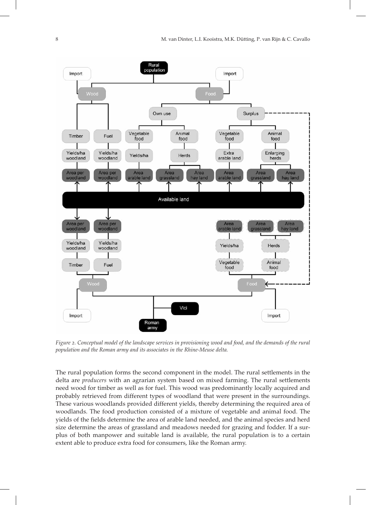

Figure 2. Conceptual model of the landscape services in provisioning wood and food, and the demands of the rural population and the Roman army and its associates in the Rhine-Meuse delta.

The rural population forms the second component in the model. The rural settlements in the delta are *producers* with an agrarian system based on mixed farming. The rural settlements need wood for timber as well as for fuel. This wood was predominantly locally acquired and probably retrieved from different types of woodland that were present in the surroundings. These various woodlands provided different yields, thereby determining the required area of woodlands. The food production consisted of a mixture of vegetable and animal food. The yields of the fields determine the area of arable land needed, and the animal species and herd size determine the areas of grassland and meadows needed for grazing and fodder. If a surplus of both manpower and suitable land is available, the rural population is to a certain extent able to produce extra food for consumers, like the Roman army.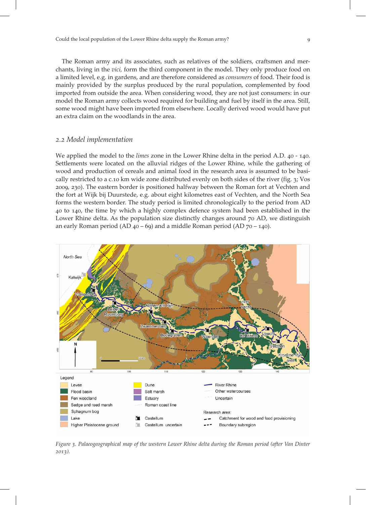The Roman army and its associates, such as relatives of the soldiers, craftsmen and merchants, living in the vici, form the third component in the model. They only produce food on a limited level, e.g. in gardens, and are therefore considered as consumers of food. Their food is mainly provided by the surplus produced by the rural population, complemented by food imported from outside the area. When considering wood, they are not just consumers: in our model the Roman army collects wood required for building and fuel by itself in the area. Still, some wood might have been imported from elsewhere. Locally derived wood would have put an extra claim on the woodlands in the area.

#### 2.2 Model implementation

We applied the model to the *limes* zone in the Lower Rhine delta in the period A.D.  $40 - 140$ . Settlements were located on the alluvial ridges of the Lower Rhine, while the gathering of wood and production of cereals and animal food in the research area is assumed to be basically restricted to a c.10 km wide zone distributed evenly on both sides of the river (fig. 3; Vos , ). The eastern border is positioned halfway between the Roman fort at Vechten and the fort at Wijk bij Duurstede, e.g. about eight kilometres east of Vechten, and the North Sea forms the western border. The study period is limited chronologically to the period from AD to , the time by which a highly complex defence system had been established in the Lower Rhine delta. As the population size distinctly changes around  $\overline{70}$  AD, we distinguish an early Roman period (AD  $40 - 69$ ) and a middle Roman period (AD  $70 - 140$ ).



Figure 3. Palaeogeographical map of the western Lower Rhine delta during the Roman period (after Van Dinter  $2013)$ .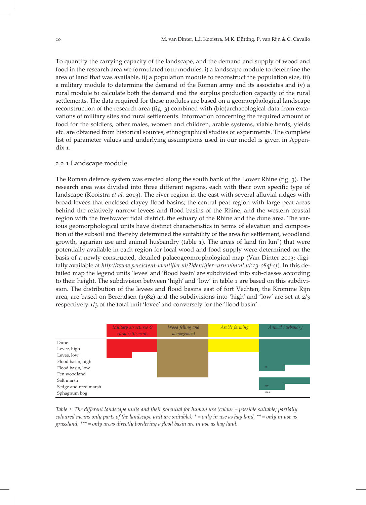To quantify the carrying capacity of the landscape, and the demand and supply of wood and food in the research area we formulated four modules, i) a landscape module to determine the area of land that was available, ii) a population module to reconstruct the population size, iii) a military module to determine the demand of the Roman army and its associates and iv) a rural module to calculate both the demand and the surplus production capacity of the rural settlements. The data required for these modules are based on a geomorphological landscape reconstruction of the research area (fig. 3) combined with (bio)archaeological data from excavations of military sites and rural settlements. Information concerning the required amount of food for the soldiers, other males, women and children, arable systems, viable herds, yields etc. are obtained from historical sources, ethnographical studies or experiments. The complete list of parameter values and underlying assumptions used in our model is given in Appendix 1.

# 2.2.1 Landscape module

The Roman defence system was erected along the south bank of the Lower Rhine (fig. 3). The research area was divided into three different regions, each with their own specific type of landscape (Kooistra *et al.* 2013). The river region in the east with several alluvial ridges with broad levees that enclosed clayey flood basins; the central peat region with large peat areas behind the relatively narrow levees and flood basins of the Rhine; and the western coastal region with the freshwater tidal district, the estuary of the Rhine and the dune area. The various geomorphological units have distinct characteristics in terms of elevation and composition of the subsoil and thereby determined the suitability of the area for settlement, woodland growth, agrarian use and animal husbandry (table 1). The areas of land (in km<sup>2</sup>) that were potentially available in each region for local wood and food supply were determined on the basis of a newly constructed, detailed palaeogeomorphological map (Van Dinter 2013; digitally available at http://www.persistent-identifier.nl/?identifier=urn:nbn:nl:ui:13-08qf-sf). In this detailed map the legend units 'levee' and 'flood basin' are subdivided into sub-classes according to their height. The subdivision between 'high' and 'low' in table 1 are based on this subdivision. The distribution of the levees and flood basins east of fort Vechten, the Kromme Rijn area, are based on Berendsen (1982) and the subdivisions into 'high' and 'low' are set at  $2/3$ respectively  $1/3$  of the total unit 'levee' and conversely for the 'flood basin'.

|                      | Military structures &<br>rural settlements | Wood felling and<br>management | Arable farming | Animal husbandry |
|----------------------|--------------------------------------------|--------------------------------|----------------|------------------|
| Dune                 |                                            |                                |                |                  |
| Levee, high          |                                            |                                |                |                  |
| Levee, low           |                                            |                                |                |                  |
| Flood basin, high    |                                            |                                |                |                  |
| Flood basin, low     |                                            |                                |                | $*$              |
| Fen woodland         |                                            |                                |                |                  |
| Salt marsh           |                                            |                                |                |                  |
| Sedge and reed marsh |                                            |                                |                | **               |
| Sphagnum bog         |                                            |                                |                | ***              |

Table 1. The different landscape units and their potential for human use (colour = possible suitable; partially coloured means only parts of the landscape unit are suitable);  $* =$  only in use as hay land,  $** =$  only in use as grassland, \*\*\* = only areas directly bordering a flood basin are in use as hay land.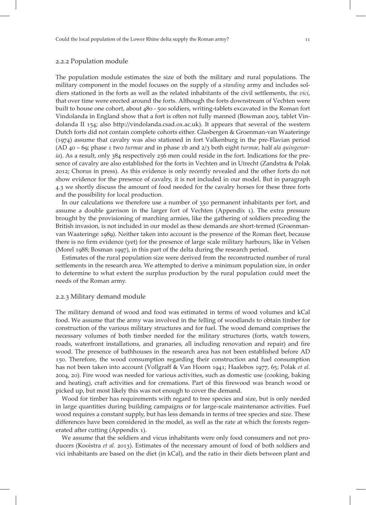The population module estimates the size of both the military and rural populations. The military component in the model focuses on the supply of a *standing* army and includes soldiers stationed in the forts as well as the related inhabitants of the civil settlements, the vici, that over time were erected around the forts. Although the forts downstream of Vechten were built to house one cohort, about 480 - 500 soldiers, writing-tablets excavated in the Roman fort Vindolanda in England show that a fort is often not fully manned (Bowman 2003, tablet Vindolanda II  $154$ ; also http://vindolanda.csad.ox.ac.uk). It appears that several of the western Dutch forts did not contain complete cohorts either. Glasbergen & Groenman-van Waateringe  $(1974)$  assume that cavalry was also stationed in fort Valkenburg in the pre-Flavian period (AD  $40 - 69$ ; phase 1 two turmae and in phase 1b and  $2/3$  both eight turmae, half ala quingenar $ia$ ). As a result, only  $384$  respectively  $256$  men could reside in the fort. Indications for the presence of cavalry are also established for the forts in Vechten and in Utrecht (Zandstra & Polak ; Chorus in press). As this evidence is only recently revealed and the other forts do not show evidence for the presence of cavalry, it is not included in our model. But in paragraph 4.3 we shortly discuss the amount of food needed for the cavalry horses for these three forts and the possibility for local production.

In our calculations we therefore use a number of 350 permanent inhabitants per fort, and assume a double garrison in the larger fort of Vechten (Appendix 1). The extra pressure brought by the provisioning of marching armies, like the gathering of soldiers preceding the British invasion, is not included in our model as these demands are short-termed (Groenmanvan Waateringe 1989). Neither taken into account is the presence of the Roman fleet, because there is no firm evidence (yet) for the presence of large scale military harbours, like in Velsen (Morel 1988; Bosman 1997), in this part of the delta during the research period.

Estimates of the rural population size were derived from the reconstructed number of rural settlements in the research area. We attempted to derive a minimum population size, in order to determine to what extent the surplus production by the rural population could meet the needs of the Roman army.

#### 2.2.3 Military demand module

The military demand of wood and food was estimated in terms of wood volumes and kCal food. We assume that the army was involved in the felling of woodlands to obtain timber for construction of the various military structures and for fuel. The wood demand comprises the necessary volumes of both timber needed for the military structures (forts, watch towers, roads, waterfront installations, and granaries, all including renovation and repair) and fire wood. The presence of bathhouses in the research area has not been established before AD . Therefore, the wood consumption regarding their construction and fuel consumption has not been taken into account (Vollgraff & Van Hoorn 1941; Haalebos 1977, 65; Polak et al. , ). Fire wood was needed for various activities, such as domestic use (cooking, baking and heating), craft activities and for cremations. Part of this firewood was branch wood or picked up, but most likely this was not enough to cover the demand.

Wood for timber has requirements with regard to tree species and size, but is only needed in large quantities during building campaigns or for large-scale maintenance activities. Fuel wood requires a constant supply, but has less demands in terms of tree species and size. These differences have been considered in the model, as well as the rate at which the forests regenerated after cutting (Appendix 1).

We assume that the soldiers and vicus inhabitants were only food consumers and not producers (Kooistra et al. 2013). Estimates of the necessary amount of food of both soldiers and vici inhabitants are based on the diet (in kCal), and the ratio in their diets between plant and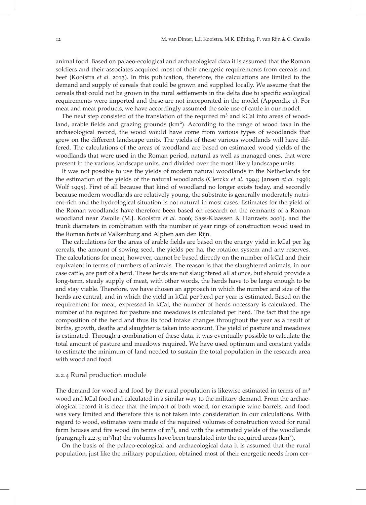animal food. Based on palaeo-ecological and archaeological data it is assumed that the Roman soldiers and their associates acquired most of their energetic requirements from cereals and beef (Kooistra et al. 2013). In this publication, therefore, the calculations are limited to the demand and supply of cereals that could be grown and supplied locally. We assume that the cereals that could not be grown in the rural settlements in the delta due to specific ecological requirements were imported and these are not incorporated in the model (Appendix ). For meat and meat products, we have accordingly assumed the sole use of cattle in our model.

The next step consisted of the translation of the required  $m<sup>3</sup>$  and kCal into areas of woodland, arable fields and grazing grounds (km<sup>2</sup>). According to the range of wood taxa in the archaeological record, the wood would have come from various types of woodlands that grew on the different landscape units. The yields of these various woodlands will have differed. The calculations of the areas of woodland are based on estimated wood yields of the woodlands that were used in the Roman period, natural as well as managed ones, that were present in the various landscape units, and divided over the most likely landscape units.

It was not possible to use the yields of modern natural woodlands in the Netherlands for the estimation of the yields of the natural woodlands (Clerckx et al. 1994; Jansen et al. 1996; Wolf 1995). First of all because that kind of woodland no longer exists today, and secondly because modern woodlands are relatively young, the substrate is generally moderately nutrient-rich and the hydrological situation is not natural in most cases. Estimates for the yield of the Roman woodlands have therefore been based on research on the remnants of a Roman woodland near Zwolle (M.J. Kooistra et al. 2006; Sass-Klaassen & Hanraets 2006), and the trunk diameters in combination with the number of year rings of construction wood used in the Roman forts of Valkenburg and Alphen aan den Rijn.

The calculations for the areas of arable fields are based on the energy yield in kCal per kg cereals, the amount of sowing seed, the yields per ha, the rotation system and any reserves. The calculations for meat, however, cannot be based directly on the number of kCal and their equivalent in terms of numbers of animals. The reason is that the slaughtered animals, in our case cattle, are part of a herd. These herds are not slaughtered all at once, but should provide a long-term, steady supply of meat, with other words, the herds have to be large enough to be and stay viable. Therefore, we have chosen an approach in which the number and size of the herds are central, and in which the yield in kCal per herd per year is estimated. Based on the requirement for meat, expressed in kCal, the number of herds necessary is calculated. The number of ha required for pasture and meadows is calculated per herd. The fact that the age composition of the herd and thus its food intake changes throughout the year as a result of births, growth, deaths and slaughter is taken into account. The yield of pasture and meadows is estimated. Through a combination of these data, it was eventually possible to calculate the total amount of pasture and meadows required. We have used optimum and constant yields to estimate the minimum of land needed to sustain the total population in the research area with wood and food.

#### 2.2.4 Rural production module

The demand for wood and food by the rural population is likewise estimated in terms of  $m<sup>3</sup>$ wood and kCal food and calculated in a similar way to the military demand. From the archaeological record it is clear that the import of both wood, for example wine barrels, and food was very limited and therefore this is not taken into consideration in our calculations. With regard to wood, estimates were made of the required volumes of construction wood for rural farm houses and fire wood (in terms of m<sup>3</sup>), and with the estimated yields of the woodlands (paragraph 2.2.3;  $m^3/ha$ ) the volumes have been translated into the required areas (km<sup>2</sup>).

On the basis of the palaeo-ecological and archaeological data it is assumed that the rural population, just like the military population, obtained most of their energetic needs from cer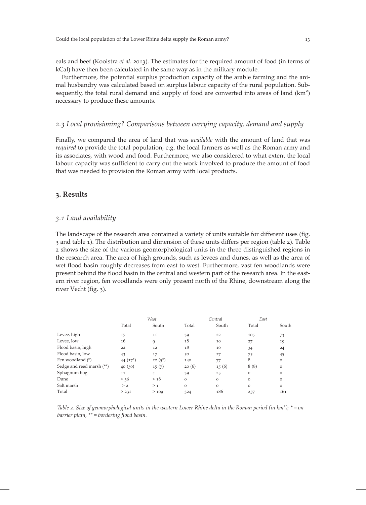eals and beef (Kooistra *et al.* 2013). The estimates for the required amount of food (in terms of kCal) have then been calculated in the same way as in the military module.

Furthermore, the potential surplus production capacity of the arable farming and the animal husbandry was calculated based on surplus labour capacity of the rural population. Subsequently, the total rural demand and supply of food are converted into areas of land (km<sup>2</sup>) necessary to produce these amounts.

# . Local provisioning? Comparisons between carrying capacity, demand and supply

Finally, we compared the area of land that was *available* with the amount of land that was required to provide the total population, e.g. the local farmers as well as the Roman army and its associates, with wood and food. Furthermore, we also considered to what extent the local labour capacity was sufficient to carry out the work involved to produce the amount of food that was needed to provision the Roman army with local products.

# . Results

#### . Land availability

The landscape of the research area contained a variety of units suitable for different uses (fig. and table ). The distribution and dimension of these units differs per region (table ). Table shows the size of the various geomorphological units in the three distinguished regions in the research area. The area of high grounds, such as levees and dunes, as well as the area of wet flood basin roughly decreases from east to west. Furthermore, vast fen woodlands were present behind the flood basin in the central and western part of the research area. In the eastern river region, fen woodlands were only present north of the Rhine, downstream along the river Vecht (fig. 3).

|                           |             | West           |              | Central | East     |               |
|---------------------------|-------------|----------------|--------------|---------|----------|---------------|
|                           | Total       | South          | Total        | South   | Total    | South         |
| Levee, high               | 17          | 11             | 39           | 22      | 105      | 73            |
| Levee, low                | 16          | 9              | 18           | 10      | 27       | 19            |
| Flood basin, high         | 22          | 12             | 18           | 10      | 34       | 24            |
| Flood basin, low          | 43          | 17             | 50           | 27      | 75       | 45            |
| Fen woodland (*)          | 44 $(17^*)$ | $22(5^*)$      | 140          | 77      | 8        | $\circ$       |
| Sedge and reed marsh (**) | 40(30)      | 15(7)          | 20(6)        | 15(6)   | 8(8)     | $\mathcal{O}$ |
| Sphagnum bog              | 11          | $\overline{4}$ | 39           | 25      | $\Omega$ | $\mathcal{O}$ |
| Dune                      | > 36        | > 18           | $\circ$      | $\circ$ | $\Omega$ | $\circ$       |
| Salt marsh                | > 2         | >1             | $\mathbf{O}$ | $\circ$ | $\circ$  | $\circ$       |
| Total                     | > 231       | >109           | 324          | 186     | 257      | 161           |

Table 2. Size of geomorphological units in the western Lower Rhine delta in the Roman period (in  $km^2$ );  $* = on$ barrier plain, \*\* = bordering flood basin.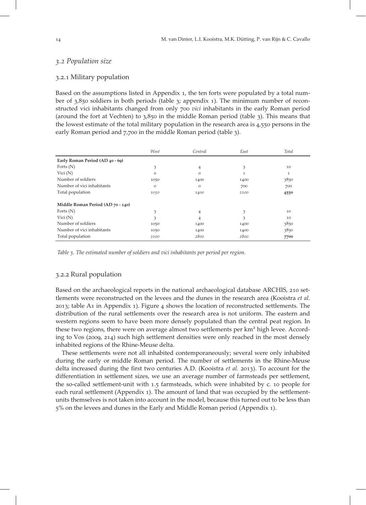# 3.2 Population size

#### 3.2.1 Military population

Based on the assumptions listed in Appendix 1, the ten forts were populated by a total number of  $3,850$  soldiers in both periods (table 3; appendix 1). The minimum number of reconstructed vici inhabitants changed from only 700 vici inhabitants in the early Roman period (around the fort at Vechten) to  $3,850$  in the middle Roman period (table 3). This means that the lowest estimate of the total military population in the research area is  $4,550$  persons in the early Roman period and 7,700 in the middle Roman period (table 3).

|                                   | West     | Central  | East         | Total |
|-----------------------------------|----------|----------|--------------|-------|
| Early Roman Period (AD 40 - 69)   |          |          |              |       |
| Forts $(N)$                       | 3        | 4        | 3            | 10    |
| Vici $(N)$                        | $\Omega$ | $\Omega$ | $\mathbf{I}$ | 1     |
| Number of soldiers                | 1050     | 1400     | 1400         | 3850  |
| Number of vici inhabitants        | $\Omega$ | $\Omega$ | 700          | 700   |
| Total population                  | 1050     | 1400     | 2100         | 4550  |
| Middle Roman Period (AD 70 - 140) |          |          |              |       |
| Forts $(N)$                       | 3        | 4        | 3            | 10    |
| Vici $(N)$                        | 3        | 4        | 3            | 10    |
| Number of soldiers                | 1050     | 1400     | 1400         | 3850  |
| Number of vici inhabitants        | 1050     | 1400     | 1400         | 3850  |
| Total population                  | 2100     | 2800     | 2800         | 7700  |

Table 3. The estimated number of soldiers and vici inhabitants per period per region.

#### 3.2.2 Rural population

Based on the archaeological reports in the national archaeological database ARCHIS, 210 settlements were reconstructed on the levees and the dunes in the research area (Kooistra et al. 2013; table A1 in Appendix 1). Figure 4 shows the location of reconstructed settlements. The distribution of the rural settlements over the research area is not uniform. The eastern and western regions seem to have been more densely populated than the central peat region. In these two regions, there were on average almost two settlements per km<sup>2</sup> high levee. According to Vos (2009, 214) such high settlement densities were only reached in the most densely inhabited regions of the Rhine-Meuse delta.

These settlements were not all inhabited contemporaneously; several were only inhabited during the early or middle Roman period. The number of settlements in the Rhine-Meuse delta increased during the first two centuries A.D. (Kooistra  $et$   $al.$  2013). To account for the differentiation in settlement sizes, we use an average number of farmsteads per settlement, the so-called settlement-unit with 1.5 farmsteads, which were inhabited by c. 10 people for each rural settlement (Appendix 1). The amount of land that was occupied by the settlementunits themselves is not taken into account in the model, because this turned out to be less than % on the levees and dunes in the Early and Middle Roman period (Appendix ).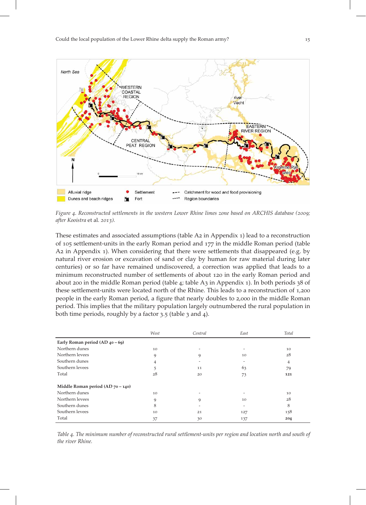

Figure 4. Reconstructed settlements in the western Lower Rhine limes zone based on ARCHIS database (2009; after Kooistra et al. 2013).

These estimates and associated assumptions (table  $Az$  in Appendix  $1$ ) lead to a reconstruction of 105 settlement-units in the early Roman period and 177 in the middle Roman period (table A2 in Appendix 1). When considering that there were settlements that disappeared (e.g. by natural river erosion or excavation of sand or clay by human for raw material during later centuries) or so far have remained undiscovered, a correction was applied that leads to a minimum reconstructed number of settlements of about 120 in the early Roman period and about 200 in the middle Roman period (table 4; table A3 in Appendix 1). In both periods  $38$  of these settlement-units were located north of the Rhine. This leads to a reconstruction of 1,200 people in the early Roman period, a figure that nearly doubles to 2,000 in the middle Roman period. This implies that the military population largely outnumbered the rural population in both time periods, roughly by a factor  $3.5$  (table  $3$  and  $4$ ).

|                                      | West | Central | East | Total |
|--------------------------------------|------|---------|------|-------|
| Early Roman period $(AD_40 - 69)$    |      |         |      |       |
| Northern dunes                       | 10   |         |      | 10    |
| Northern levees                      | 9    | 9       | 10   | 28    |
| Southern dunes                       | 4    |         |      | 4     |
| Southern levees                      |      | 11      | 63   | 79    |
| Total                                | 28   | 20      | 73   | 121   |
| Middle Roman period (AD $70 - 140$ ) |      |         |      |       |
| Northern dunes                       | 10   |         |      | 10    |
| Northern levees                      | 9    | 9       | 10   | 28    |
| Southern dunes                       | 8    |         |      | 8     |
| Southern levees                      | 10   | 21      | 127  | 158   |
| Total                                | 37   | 30      | 137  | 204   |

Table 4. The minimum number of reconstructed rural settlement-units per region and location north and south of the river Rhine.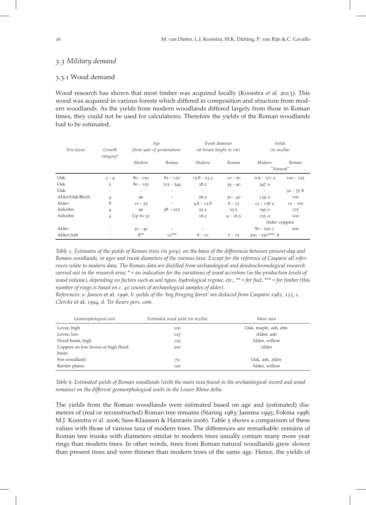# 3.3 Military demand

# 3.3.1 Wood demand

Wood research has shown that most timber was acquired locally (Kooistra et al. 2013). This wood was acquired in various forests which differed in composition and structure from modern woodlands. As the yields from modern woodlands differed largely from those in Roman times, they could not be used for calculations. Therefore the yields of the Roman woodlands had to be estimated.

| Tree taxon<br>Growth<br>category* |                | Age<br>(from year of germination) |                          | Trunk diameter<br>(at breast height in cm) |            | Yields<br>$(in \ m3/ha)$ |             |
|-----------------------------------|----------------|-----------------------------------|--------------------------|--------------------------------------------|------------|--------------------------|-------------|
|                                   |                | Modern                            | Roman                    | Modern                                     | Roman      | Modern<br>"Natural"      | Roman       |
| Oak                               | $3 - 4$        | $80 - 120$                        | $82 - 122$               | $15.8 - 23.3$                              | $10 - 20$  | $105 - 171$ a            | $100 - 125$ |
| Oak                               | 5              | $80 - 120$                        | $123 - 244$              | 38.2                                       | $34 - 40$  | 247 a                    |             |
| Oak                               | -              |                                   |                          | $\overline{\phantom{a}}$                   | ۰          | $\overline{\phantom{a}}$ | $50 - 75 b$ |
| Alder/Oak/Birch                   | 4              | 90                                | $\overline{\phantom{a}}$ | 26.5                                       | $30 - 40$  | 139 a                    | 100         |
| Alder                             | 8              | $10 - 25$                         |                          | $4.6 - 13.8$                               | $6 - 15$   | 13 - 136 a               | $13 - 100$  |
| Ash/elm                           | 4              | 90                                | $58 - 217$               | 22.5                                       | 25.5       | 195 a                    | 175         |
| Ash/elm                           | $\overline{4}$ | Up to $55$                        |                          | 16.2                                       | $9 - 16.5$ | 135 a                    | 100         |
|                                   |                |                                   |                          |                                            |            | Alder coppice            |             |
| Alder                             |                | $30 - 40$                         |                          |                                            |            | $80 - 230$ C             | 200         |
| Alder/Ash                         |                | $8**$                             | $12***$                  | $8 - 10$                                   | $7 - 15$   | 200 - 250**** d          |             |

Table 5. Estimates of the yields of Roman trees (in grey), on the basis of the differences between present-day and Roman woodlands, in ages and trunk diameters of the various taxa. Except for the reference of Casparie all references relate to modern data. The Roman data are distilled from archaeological and dendrochronological research carried out in the research area; \* = an indication for the variations of wood accretion (in the production levels of wood volume), depending on factors such as soil types, hydrological regime, etc., \*\* = for fuel, \*\*\* = for timber (this number of rings is based on c. 40 counts of archaeological samples of alder).

References: a. Jansen et al. 1996, b. yields of the 'bog fringing forest' are deduced from Casparie 1982, 155, c. Clerckx et al. 1994, d. Ter Keurs pers. com.

| Geomorphological unit               | Estimated wood yield (in m3/ha) | Main taxa            |
|-------------------------------------|---------------------------------|----------------------|
| Levee, high                         | 100                             | Oak, maple, ash, elm |
| Levee, low                          | 125                             | Alder, ash           |
| Flood basin, high                   | 125                             | Alder, willow        |
| Coppice on low levees or high flood | 200                             | Alder                |
| basin                               |                                 |                      |
| Fen woodland                        | 75                              | Oak, ash, alder      |
| Barrier plains                      | 100                             | Alder, willow        |

Table 6. Estimated yields of Roman woodlands (with the main taxa found in the archaeological record and wood remains) on the different geomorphological units in the Lower Rhine delta.

The yields from the Roman woodlands were estimated based on age and (estimated) diameters of (real or reconstructed) Roman tree remains (Staring 1983; Jansma 1995; Fokma 1998; M.J. Kooistra et al. 2006; Sass-Klaassen & Hanraets 2006). Table 5 shows a comparison of these values with those of various taxa of modern trees. The differences are remarkable: remains of Roman tree trunks with diameters similar to modern trees usually contain many more year rings than modern trees. In other words, trees from Roman natural woodlands grew slower than present trees and were thinner than modern trees of the same age. Hence, the yields of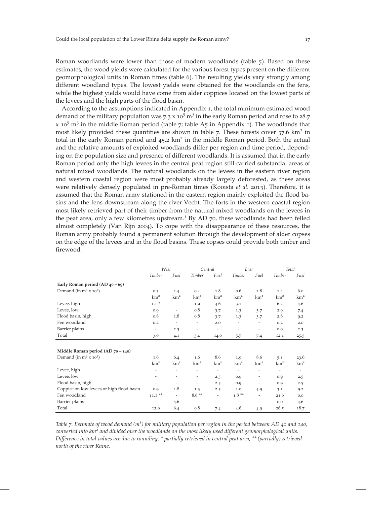Roman woodlands were lower than those of modern woodlands (table 5). Based on these estimates, the wood yields were calculated for the various forest types present on the different geomorphological units in Roman times (table ). The resulting yields vary strongly among different woodland types. The lowest yields were obtained for the woodlands on the fens, while the highest yields would have come from alder coppices located on the lowest parts of the levees and the high parts of the flood basin.

According to the assumptions indicated in Appendix 1, the total minimum estimated wood demand of the military population was  $7.3 \times 10^5$  m<sup>3</sup> in the early Roman period and rose to 28.7  $x$  10<sup>5</sup> m<sup>3</sup> in the middle Roman period (table 7; table A<sub>5</sub> in Appendix 1). The woodlands that most likely provided these quantities are shown in table  $7$ . These forests cover  $37.6 \text{ km}^2$  in total in the early Roman period and  $45.2 \text{ km}^2$  in the middle Roman period. Both the actual and the relative amounts of exploited woodlands differ per region and time period, depending on the population size and presence of different woodlands. It is assumed that in the early Roman period only the high levees in the central peat region still carried substantial areas of natural mixed woodlands. The natural woodlands on the levees in the eastern river region and western coastal region were most probably already largely deforested, as these areas were relatively densely populated in pre-Roman times (Kooista et al. 2013). Therefore, it is assumed that the Roman army stationed in the eastern region mainly exploited the flood basins and the fens downstream along the river Vecht. The forts in the western coastal region most likely retrieved part of their timber from the natural mixed woodlands on the levees in the peat area, only a few kilometres upstream.<sup>1</sup> By AD 70, these woodlands had been felled almost completely (Van Rijn 2004). To cope with the disappearance of these resources, the Roman army probably found a permanent solution through the development of alder copses on the edge of the levees and in the flood basins. These copses could provide both timber and firewood.

|                                           | West                     |                          | Central                  |                          | East                     |                          | Total                    |                          |
|-------------------------------------------|--------------------------|--------------------------|--------------------------|--------------------------|--------------------------|--------------------------|--------------------------|--------------------------|
|                                           | Timber                   | Fuel                     | Timber                   | Fuel                     | Timber                   | Fuel                     | Timber                   | Fuel                     |
| Early Roman period $(AD_40 - 69)$         |                          |                          |                          |                          |                          |                          |                          |                          |
| Demand (in $m^3$ x $10^5$ )               | 0.3                      | 1.4                      | 0.4                      | 1.8                      | 0.6                      | 2.8                      | 1.4                      | 6.0                      |
|                                           | km <sup>2</sup>          | km <sup>2</sup>          | km <sup>2</sup>          | km <sup>2</sup>          | km <sup>2</sup>          | km <sup>2</sup>          | km <sup>2</sup>          | km <sup>2</sup>          |
| Levee, high                               | $1.1$ *                  | $\overline{\phantom{m}}$ | 1.9                      | 4.6                      | 3.1                      | $\overline{\phantom{a}}$ | 6.2                      | 4.6                      |
| Levee, low                                | 0.9                      | $\overline{\phantom{a}}$ | 0.8                      | 3.7                      | 1.3                      | 3.7                      | 2.9                      | 7.4                      |
| Flood basin, high                         | 0.8                      | 1.8                      | 0.8                      | 3.7                      | 1.3                      | 3.7                      | 2.8                      | 9.2                      |
| Fen woodland                              | 0.2                      |                          | $\overline{\phantom{a}}$ | 2.0                      | -                        |                          | 0.2                      | 2.0                      |
| Barrier plains                            | $\overline{\phantom{a}}$ | 2.3                      | $\overline{\phantom{a}}$ | $\overline{\phantom{a}}$ | $\overline{\phantom{a}}$ | $\overline{\phantom{m}}$ | 0.0                      | 2.3                      |
| Total                                     | 3.0                      | 4.1                      | 3.4                      | 14.0                     | $5 - 7$                  | 7.4                      | 12.1                     | 25.5                     |
|                                           |                          |                          |                          |                          |                          |                          |                          |                          |
| Middle Roman period (AD 70 - 140)         |                          |                          |                          |                          |                          |                          |                          |                          |
| Demand (in $m^3$ x 10 <sup>5</sup> )      | 1.6                      | 6.4                      | 1.6                      | 8.6                      | 1.9                      | 8.6                      | 5.1                      | 23.6                     |
|                                           | km <sup>2</sup>          | km <sup>2</sup>          | km <sup>2</sup>          | km <sup>2</sup>          | km <sup>2</sup>          | km <sup>2</sup>          | km <sup>2</sup>          | km <sup>2</sup>          |
| Levee, high                               | $\overline{\phantom{a}}$ | $\overline{\phantom{a}}$ | $\overline{\phantom{a}}$ | $\overline{\phantom{a}}$ | $\overline{\phantom{a}}$ | $\overline{\phantom{a}}$ | $\overline{\phantom{a}}$ | $\overline{\phantom{a}}$ |
| Levee, low                                | $\overline{\phantom{a}}$ | $\overline{\phantom{a}}$ | $\overline{\phantom{a}}$ | 2.5                      | 0.9                      | $\overline{\phantom{a}}$ | 0.9                      | 2.5                      |
| Flood basin, high                         | $\overline{\phantom{a}}$ | $\overline{\phantom{a}}$ | $\overline{\phantom{m}}$ | 2.5                      | 0.9                      | $\overline{\phantom{a}}$ | 0.9                      | 2.5                      |
| Coppice on low levees or high flood basin | 0.9                      | 1.8                      | 1.3                      | 2.5                      | 1.0                      | 4.9                      | 3.1                      | 9.2                      |
| Fen woodland                              | $11.1$ **                | $\overline{\phantom{a}}$ | $8.6**$                  | $\overline{\phantom{a}}$ | $1.8**$                  | $\overline{\phantom{a}}$ | 21.6                     | 0.0                      |
| Barrier plains                            |                          | 4.6                      | $\overline{\phantom{a}}$ | $\overline{\phantom{a}}$ | $\overline{\phantom{a}}$ | $\overline{\phantom{a}}$ | 0.0                      | 4.6                      |
| Total                                     | 12.0                     | 6.4                      | 9.8                      | 7.4                      | 4.6                      | 4.9                      | 26.5                     | 18.7                     |

Table 7. Estimate of wood demand  $(m^3)$  for military population per region in the period between AD 40 and 140, converted into  $km<sup>2</sup>$  and divided over the woodlands on the most likely used different geomorphological units. Difference in total values are due to rounding; \* partially retrieved in central peat area, \*\* (partially) retrieved north of the river Rhine.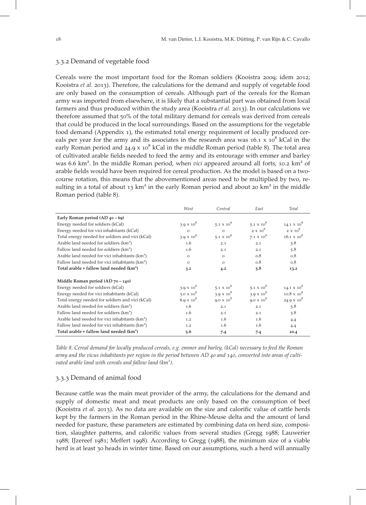#### 3.3.2 Demand of vegetable food

Cereals were the most important food for the Roman soldiers (Kooistra 2009; idem 2012; Kooistra et al. 2013). Therefore, the calculations for the demand and supply of vegetable food are only based on the consumption of cereals. Although part of the cereals for the Roman army was imported from elsewhere, it is likely that a substantial part was obtained from local farmers and thus produced within the study area (Kooistra *et al.* 2013). In our calculations we therefore assumed that 50% of the total military demand for cereals was derived from cereals that could be produced in the local surroundings. Based on the assumptions for the vegetable food demand (Appendix ), the estimated total energy requirement of locally produced cereals per year for the army and its associates in the research area was  $16.1 \times 10^8$  kCal in the early Roman period and  $24.9 \times 10^8$  kCal in the middle Roman period (table 8). The total area of cultivated arable fields needed to feed the army and its entourage with emmer and barley was 6.6 km<sup>2</sup>. In the middle Roman period, when vici appeared around all forts, 10.2 km<sup>2</sup> of arable fields would have been required for cereal production. As the model is based on a twocourse rotation, this means that the abovementioned areas need to be multiplied by two, resulting in a total of about  $13 \text{ km}^2$  in the early Roman period and about 20 km<sup>2</sup> in the middle Roman period (table 8).

|                                                            | West              | Central           | East              | Total                         |
|------------------------------------------------------------|-------------------|-------------------|-------------------|-------------------------------|
| Early Roman period (AD 40 - 69)                            |                   |                   |                   |                               |
| Energy needed for soldiers (kCal)                          | $3.9 \times 10^8$ | $5.1 \times 10^8$ | $5.1 \times 10^8$ | 14.1 $\times$ 10 <sup>8</sup> |
| Energy needed for vici inhabitants (kCal)                  | $\circ$           | $\circ$           | $2 \times 10^8$   | $2 \times 10^8$               |
| Total energy needed for soldiers and vici (kCal)           | $3.9 \times 10^8$ | $5.1 \times 10^8$ | $7.1 \times 10^8$ | $16.1 \times 10^8$            |
| Arable land needed for soldiers $(km^2)$                   | 1.6               | 2.1               | 2.1               | 5.8                           |
| Fallow land needed for soldiers $(km^2)$                   | 1.6               | 2.1               | 2.1               | 5.8                           |
| Arable land needed for vici inhabitants $(km^2)$           | $\circ$           | $\Omega$          | 0.8               | 0.8                           |
| Fallow land needed for vici inhabitants $(km^2)$           | $\Omega$          | $\Omega$          | 0.8               | 0.8                           |
| Total arable + fallow land needed $(km^2)$                 | 3.2               | 4.2               | 5.8               | 13.2                          |
| Middle Roman period $(AD70 - 140)$                         |                   |                   |                   |                               |
| Energy needed for soldiers (kCal)                          | $3.9 \times 10^8$ | 5.1 $\times 10^8$ | 5.1 $\times 10^8$ | 14.1 $\times$ 10 <sup>8</sup> |
| Energy needed for vici inhabitants (kCal)                  | $3.0 \times 10^8$ | 3.9 $\times 10^8$ | 3.9 $\times 10^8$ | $10.8 \times 10^8$            |
| Total energy needed for soldiers and vici (kCal)           | $6.9 \times 10^8$ | $9.0 \times 10^8$ | $9.0 \times 10^8$ | $24.9 \times 10^8$            |
| Arable land needed for soldiers (km <sup>2</sup> )         | 1.6               | 2.1               | 2.1               | 5.8                           |
| Fallow land needed for soldiers (km <sup>2</sup> )         | 1.6               | 2.1               | 2.1               | 5.8                           |
| Arable land needed for vici inhabitants (km <sup>2</sup> ) | 1.2               | 1.6               | 1.6               | 4.4                           |
| Fallow land needed for vici inhabitants (km <sup>2</sup> ) | 1.2               | 1.6               | 1.6               | 4.4                           |
| Total arable + fallow land needed (km <sup>2</sup> )       | 5.6               | 7.4               | 7.4               | 20.4                          |

Table 8. Cereal demand for locally produced cereals, e.g. emmer and barley, (kCal) necessary to feed the Roman army and the vicus inhabitants per region in the period between AD 40 and 140, converted into areas of cultivated arable land with cereals and fallow land  $(km^2)$ .

#### 3.3.3 Demand of animal food

Because cattle was the main meat provider of the army, the calculations for the demand and supply of domestic meat and meat products are only based on the consumption of beef (Kooistra *et al.* 2013). As no data are available on the size and calorific value of cattle herds kept by the farmers in the Roman period in the Rhine-Meuse delta and the amount of land needed for pasture, these parameters are estimated by combining data on herd size, composition, slaughter patterns, and calorific values from several studies (Gregg 1988; Lauwerier  $1988$ ; IJzereef  $1981$ ; Meffert 1998). According to Gregg ( $1988$ ), the minimum size of a viable herd is at least 30 heads in winter time. Based on our assumptions, such a herd will annually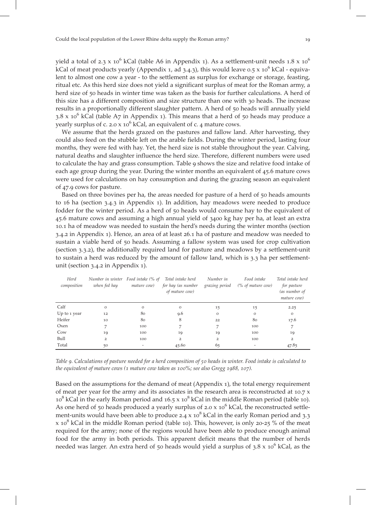yield a total of 2.3 x  $10^6$  kCal (table A6 in Appendix 1). As a settlement-unit needs 1.8 x  $10^6$ kCal of meat products yearly (Appendix 1, ad 3.4.3), this would leave  $0.5 \times 10^6$  kCal - equivalent to almost one cow a year - to the settlement as surplus for exchange or storage, feasting, ritual etc. As this herd size does not yield a significant surplus of meat for the Roman army, a herd size of 50 heads in winter time was taken as the basis for further calculations. A herd of this size has a different composition and size structure than one with 30 heads. The increase results in a proportionally different slaughter pattern. A herd of 50 heads will annually yield 3.8 x  $10^6$  kCal (table A7 in Appendix 1). This means that a herd of 50 heads may produce a yearly surplus of c. 2.0 x  $10^6$  kCal, an equivalent of c. 4 mature cows.

We assume that the herds grazed on the pastures and fallow land. After harvesting, they could also feed on the stubble left on the arable fields. During the winter period, lasting four months, they were fed with hay. Yet, the herd size is not stable throughout the year. Calving, natural deaths and slaughter influence the herd size. Therefore, different numbers were used to calculate the hay and grass consumption. Table 9 shows the size and relative food intake of each age group during the year. During the winter months an equivalent of  $45.6$  mature cows were used for calculations on hay consumption and during the grazing season an equivalent of 47.9 cows for pasture.

Based on three bovines per ha, the areas needed for pasture of a herd of 50 heads amounts to  $16$  ha (section  $3.4.3$  in Appendix  $1$ ). In addition, hay meadows were needed to produce fodder for the winter period. As a herd of 50 heads would consume hay to the equivalent of 45.6 mature cows and assuming a high annual yield of 3400 kg hay per ha, at least an extra . ha of meadow was needed to sustain the herd's needs during the winter months (section  $3.4.2$  in Appendix 1). Hence, an area of at least  $26.1$  ha of pasture and meadow was needed to sustain a viable herd of 50 heads. Assuming a fallow system was used for crop cultivation (section  $3.3.2$ ), the additionally required land for pasture and meadows by a settlement-unit to sustain a herd was reduced by the amount of fallow land, which is 3.3 ha per settlementunit (section  $3.4.2$  in Appendix 1).

| Herd<br>composition | Number in winter Food intake (% of<br>when fed hay | mature cow) | Total intake herd<br>for hay (as number<br>of mature cow) | Number in<br>grazing period | Food intake<br>$(\%$ of mature cow) | Total intake herd<br>for pasture<br>(as number of<br>mature cow) |
|---------------------|----------------------------------------------------|-------------|-----------------------------------------------------------|-----------------------------|-------------------------------------|------------------------------------------------------------------|
| Calf                | $\mathcal{O}$                                      | $\circ$     | $\circ$                                                   | 15                          | 15                                  | 2.25                                                             |
| Up to 1 year        | 12                                                 | 80          | 9.6                                                       | $\circ$                     | $\circ$                             | $\mathbf{O}$                                                     |
| Heifer              | 10                                                 | 80          | 8                                                         | 22                          | 80                                  | 17.6                                                             |
| Oxen                | 7                                                  | 100         | 7                                                         |                             | 100                                 | 7                                                                |
| Cow                 | 19                                                 | 100         | 19                                                        | 19                          | 100                                 | 19                                                               |
| Bull                | $\overline{2}$                                     | 100         | 2                                                         | $\overline{2}$              | 100                                 | 2                                                                |
| Total               | 50                                                 | -           | 45.60                                                     | 65                          | $\overline{\phantom{a}}$            | 47.85                                                            |

Table 9. Calculations of pasture needed for a herd composition of 50 heads in winter. Food intake is calculated to the equivalent of mature cows ( $1$  mature cow taken as  $100\%$ ; see also Gregg 1988, 107).

Based on the assumptions for the demand of meat (Appendix 1), the total energy requirement of meat per year for the army and its associates in the research area is reconstructed at  $10.7 \times$  $10^8$  kCal in the early Roman period and  $16.5 \times 10^8$  kCal in the middle Roman period (table 10). As one herd of 50 heads produced a yearly surplus of  $2.0 \times 10^6$  kCal, the reconstructed settlement-units would have been able to produce 2.4  $\times$  10<sup>8</sup> kCal in the early Roman period and 3.3 x 10<sup>8</sup> kCal in the middle Roman period (table 10). This, however, is only 20-25 % of the meat required for the army; none of the regions would have been able to produce enough animal food for the army in both periods. This apparent deficit means that the number of herds needed was larger. An extra herd of  $50$  heads would yield a surplus of  $3.8 \times 10^6$  kCal, as the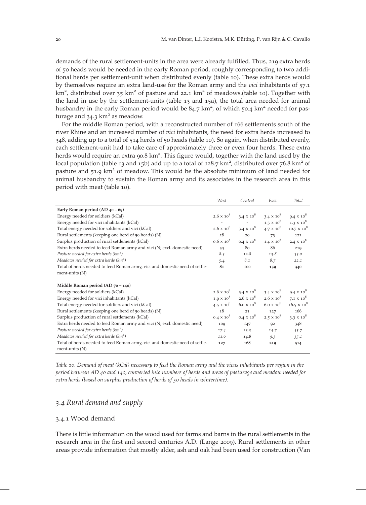demands of the rural settlement-units in the area were already fulfilled. Thus, 219 extra herds of heads would be needed in the early Roman period, roughly corresponding to two additional herds per settlement-unit when distributed evenly (table 10). These extra herds would by themselves require an extra land-use for the Roman army and the *vici* inhabitants of  $57.1$ km<sup>2</sup>, distributed over 35 km<sup>2</sup> of pasture and 22.1 km<sup>2</sup> of meadows.(table 10). Together with the land in use by the settlement-units (table  $13$  and  $15a$ ), the total area needed for animal husbandry in the early Roman period would be  $84.7 \text{ km}^2$ , of which 50.4 km<sup>2</sup> needed for pasturage and  $34.3 \text{ km}^2$  as meadow.

For the middle Roman period, with a reconstructed number of 166 settlements south of the river Rhine and an increased number of *vici* inhabitants, the need for extra herds increased to  $348$ , adding up to a total of  $514$  herds of  $50$  heads (table 10). So again, when distributed evenly, each settlement-unit had to take care of approximately three or even four herds. These extra herds would require an extra 90.8 km<sup>2</sup>. This figure would, together with the land used by the local population (table 13 and 15b) add up to a total of 128.7  $km^2$ , distributed over 76.8  $km^2$  of pasture and  $51.9 \text{ km}^2$  of meadow. This would be the absolute minimum of land needed for animal husbandry to sustain the Roman army and its associates in the research area in this period with meat (table 10).

|                                                                                                 | West              | Central           | East              | Total              |
|-------------------------------------------------------------------------------------------------|-------------------|-------------------|-------------------|--------------------|
| Early Roman period $(AD_40 - 69)$                                                               |                   |                   |                   |                    |
| Energy needed for soldiers (kCal)                                                               | $2.6 \times 10^8$ | $3.4 \times 10^8$ | $3.4 \times 10^8$ | $9.4 \times 10^8$  |
| Energy needed for vici inhabitants (kCal)                                                       |                   |                   | $1.3 \times 10^8$ | $1.3 \times 10^8$  |
| Total energy needed for soldiers and vici (kCal)                                                | $2.6 \times 10^8$ | $3.4 \times 10^8$ | $4.7 \times 10^8$ | $10.7 \times 10^8$ |
| Rural settlements (keeping one herd of 50 heads) (N)                                            | 28                | 20                | 73                | 121                |
| Surplus production of rural settlements (kCal)                                                  | $0.6 \times 10^8$ | $0.4 \times 10^8$ | $1.4 \times 10^8$ | $2.4 \times 10^8$  |
| Extra herds needed to feed Roman army and vici (N; excl. domestic need)                         | 53                | 80                | 86                | 219                |
| Pasture needed for extra herds $(km^2)$                                                         | 8.5               | 12.8              | 13.8              | 35.0               |
| Meadows needed for extra herds $(km^2)$                                                         | 5.4               | 8.1               | 8.7               | 22.1               |
| Total of herds needed to feed Roman army, vici and domestic need of settle-                     | 81                | 100               | 159               | 340                |
| ment-units $(N)$                                                                                |                   |                   |                   |                    |
| Middle Roman period (AD $70 - 140$ )                                                            |                   |                   |                   |                    |
| Energy needed for soldiers (kCal)                                                               | $2.6 \times 10^8$ | $3.4 \times 10^8$ | $3.4 \times 10^8$ | $9.4 \times 10^8$  |
| Energy needed for vici inhabitants (kCal)                                                       | $1.9 \times 10^8$ | $2.6 \times 10^8$ | $2.6 \times 10^8$ | $7.1 \times 10^8$  |
| Total energy needed for soldiers and vici (kCal)                                                | $4.5 \times 10^8$ | $6.0 \times 10^8$ | $6.0 \times 10^8$ | $16.5 \times 10^8$ |
| Rural settlements (keeping one herd of 50 heads) (N)                                            | 18                | 21                | 127               | 166                |
| Surplus production of rural settlements (kCal)                                                  | $0.4 \times 10^8$ | $0.4 \times 10^8$ | $2.5 \times 10^8$ | $3.3 \times 10^8$  |
| Extra herds needed to feed Roman army and vici (N; excl. domestic need)                         | 109               | 147               | 92                | 348                |
| Pasture needed for extra herds $(km^2)$                                                         | 17.4              | 23.5              | 14.7              | 55.7               |
| Meadows needed for extra herds $(km^2)$                                                         | 11.0              | 14.8              | 9.3               | 35.1               |
| Total of herds needed to feed Roman army, vici and domestic need of settle-<br>ment-units $(N)$ | 127               | 168               | 219               | 514                |

Table 10. Demand of meat (kCal) necessary to feed the Roman army and the vicus inhabitants per region in the period between AD 40 and 140, converted into numbers of herds and areas of pasturage and meadow needed for extra herds (based on surplus production of herds of 50 heads in wintertime).

# 3.4 Rural demand and supply

# 3.4.1 Wood demand

There is little information on the wood used for farms and barns in the rural settlements in the research area in the first and second centuries A.D. (Lange 2009). Rural settlements in other areas provide information that mostly alder, ash and oak had been used for construction (Van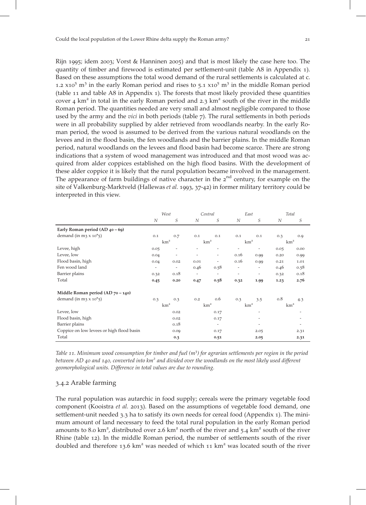quantity of timber and firewood is estimated per settlement-unit (table A8 in Appendix 1). Based on these assumptions the total wood demand of the rural settlements is calculated at c. 1.2  $\times$  x10<sup>5</sup> m<sup>3</sup> in the early Roman period and rises to 5.1  $\times$  x10<sup>5</sup> m<sup>3</sup> in the middle Roman period (table  $11$  and table A8 in Appendix  $1$ ). The forests that most likely provided these quantities cover 4  $km<sup>2</sup>$  in total in the early Roman period and 2.3  $km<sup>2</sup>$  south of the river in the middle Roman period. The quantities needed are very small and almost negligible compared to those used by the army and the *vici* in both periods (table 7). The rural settlements in both periods were in all probability supplied by alder retrieved from woodlands nearby. In the early Roman period, the wood is assumed to be derived from the various natural woodlands on the levees and in the flood basin, the fen woodlands and the barrier plains. In the middle Roman period, natural woodlands on the levees and flood basin had become scarce. There are strong indications that a system of wood management was introduced and that most wood was acquired from alder coppices established on the high flood basins. With the development of these alder coppice it is likely that the rural population became involved in the management. The appearance of farm buildings of native character in the  $2<sup>nd</sup>$  century, for example on the site of Valkenburg-Marktveld (Hallewas et al. 1993, 37-42) in former military territory could be interpreted in this view.

|                                           |                          | West                     |                          | Central                  | East                     |                          | Total |                 |
|-------------------------------------------|--------------------------|--------------------------|--------------------------|--------------------------|--------------------------|--------------------------|-------|-----------------|
|                                           | N                        | S                        | N                        | S                        | N                        | S                        | N     | S               |
| Early Roman period (AD 40 - 69)           |                          |                          |                          |                          |                          |                          |       |                 |
| demand (in m3 $x$ 10 <sup>*</sup> 5)      | 0.1                      | 0.7                      | 0.1                      | 0.1                      | 0.1                      | 0.1                      | 0.3   | 0.9             |
|                                           |                          | km <sup>2</sup>          |                          | km <sup>2</sup>          | km <sup>2</sup>          |                          |       | km <sup>2</sup> |
| Levee, high                               | 0.05                     | -                        |                          | ٠                        | $\overline{\phantom{a}}$ | $\overline{\phantom{0}}$ | 0.05  | 0.00            |
| Levee, low                                | 0.04                     | $\overline{\phantom{a}}$ | ٠                        | $\overline{\phantom{a}}$ | 0.16                     | 0.99                     | 0.20  | 0.99            |
| Flood basin, high                         | 0.04                     | 0.02                     | 0.01                     | $\overline{\phantom{a}}$ | 0.16                     | 0.99                     | 0.21  | 1.01            |
| Fen wood land                             | $\overline{\phantom{a}}$ | $\overline{\phantom{a}}$ | 0.46                     | 0.58                     | $\overline{\phantom{a}}$ | -                        | 0.46  | 0.58            |
| Barrier plains                            | 0.32                     | 0.18                     | $\overline{\phantom{m}}$ | $\overline{\phantom{a}}$ | $\overline{\phantom{a}}$ | ۰                        | 0.32  | 0.18            |
| Total                                     | 0.45                     | 0.20                     | 0.47                     | 0.58                     | 0.32                     | 1.99                     | 1.23  | 2.76            |
| Middle Roman period (AD 70 - 140)         |                          |                          |                          |                          |                          |                          |       |                 |
| demand (in m3 $\times$ 10 <sup>*</sup> 5) | 0.3                      | 0.3                      | 0.2                      | 0.6                      | 0.3                      | 3.5                      | 0.8   | 4.3             |
|                                           |                          | km <sup>2</sup>          |                          | km <sup>2</sup>          | km <sup>2</sup>          |                          |       | km <sup>2</sup> |
| Levee, low                                |                          | 0.02                     |                          | 0.17                     |                          |                          |       |                 |
| Flood basin, high                         |                          | 0.02                     |                          | 0.17                     |                          |                          |       |                 |
| Barrier plains                            |                          | 0.18                     |                          | $\overline{\phantom{a}}$ |                          | -                        |       |                 |
| Coppice on low levees or high flood basin |                          | 0.09                     |                          | 0.17                     |                          | 2.05                     |       | 2.31            |
| Total                                     |                          | 0.3                      |                          | 0.51                     |                          | 2.05                     |       | 2.31            |

Table 11. Minimum wood consumption for timber and fuel  $(m^3)$  for agrarian settlements per region in the period between AD 40 and 140, converted into  $km<sup>2</sup>$  and divided over the woodlands on the most likely used different geomorphological units. Difference in total values are due to rounding.

# 3.4.2 Arable farming

The rural population was autarchic in food supply; cereals were the primary vegetable food component (Kooistra et al. 2013). Based on the assumptions of vegetable food demand, one settlement-unit needed  $3.3$  ha to satisfy its own needs for cereal food (Appendix 1). The minimum amount of land necessary to feed the total rural population in the early Roman period amounts to 8.0 km<sup>2</sup>, distributed over 2.6 km<sup>2</sup> north of the river and 5.4 km<sup>2</sup> south of the river Rhine (table 12). In the middle Roman period, the number of settlements south of the river doubled and therefore 13.6  $km^2$  was needed of which 11  $km^2$  was located south of the river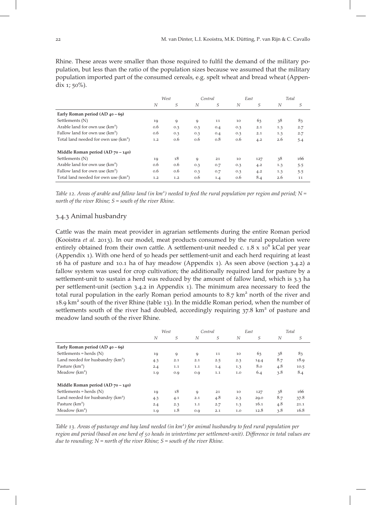Rhine. These areas were smaller than those required to fulfil the demand of the military population, but less than the ratio of the population sizes because we assumed that the military population imported part of the consumed cereals, e.g. spelt wheat and bread wheat (Appendix  $1$ ;  $50\%$ ).

|                                                  | West |     | Central |     | East |     | Total |     |
|--------------------------------------------------|------|-----|---------|-----|------|-----|-------|-----|
|                                                  | N    | S   | N       | S   | N    | S   | N     | S   |
| Early Roman period $(AD_40 - 69)$                |      |     |         |     |      |     |       |     |
| Settlements (N)                                  | 19   | 9   | 9       | 11  | 10   | 63  | 38    | 83  |
| Arable land for own use (km <sup>2</sup> )       | 0.6  | 0.3 | 0.3     | 0.4 | 0.3  | 2.1 | 1.3   | 2.7 |
| Fallow land for own use $(km^2)$                 | 0.6  | 0.3 | 0.3     | 0.4 | 0.3  | 2.1 | 1.3   | 2.7 |
| Total land needed for own use (km <sup>2</sup> ) | 1.2  | 0.6 | 0.6     | 0.8 | 0.6  | 4.2 | 2.6   | 5.4 |
| Middle Roman period $(AD 70 - 140)$              |      |     |         |     |      |     |       |     |
| Settlements (N)                                  | 19   | 18  | 9       | 21  | 10   | 127 | 38    | 166 |
| Arable land for own use $(km^2)$                 | 0.6  | 0.6 | 0.3     | 0.7 | 0.3  | 4.2 | 1.3   | 5.5 |
| Fallow land for own use $(km^2)$                 | 0.6  | 0.6 | 0.3     | 0.7 | 0.3  | 4.2 | 1.3   | 5.5 |
| Total land needed for own use $(km^2)$           | 1.2  | 1.2 | 0.6     | 1.4 | 0.6  | 8.4 | 2.6   | 11  |

Table 12. Areas of arable and fallow land (in  $km^2$ ) needed to feed the rural population per region and period;  $N =$ north of the river Rhine;  $S =$  south of the river Rhine.

# 3.4.3 Animal husbandry

Cattle was the main meat provider in agrarian settlements during the entire Roman period (Kooistra et al. 2013). In our model, meat products consumed by the rural population were entirely obtained from their own cattle. A settlement-unit needed c.  $1.8 \times 10^6$  kCal per year (Appendix  $1$ ). With one herd of  $50$  heads per settlement-unit and each herd requiring at least 16 ha of pasture and 10.1 ha of hay meadow (Appendix 1). As seen above (section 3.4.2) a fallow system was used for crop cultivation; the additionally required land for pasture by a settlement-unit to sustain a herd was reduced by the amount of fallow land, which is 3.3 ha per settlement-unit (section 3.4.2 in Appendix 1). The minimum area necessary to feed the total rural population in the early Roman period amounts to  $8.7 \text{ km}^2$  north of the river and 18.9  $km<sup>2</sup>$  south of the river Rhine (table 13). In the middle Roman period, when the number of settlements south of the river had doubled, accordingly requiring  $37.8 \text{ km}^2$  of pasture and meadow land south of the river Rhine.

|                                      | West |     |     | Central |     | East |     | Total |
|--------------------------------------|------|-----|-----|---------|-----|------|-----|-------|
|                                      | N    | S   | N   | S       | N   | S    | N   | S     |
| Early Roman period $(AD_40 - 69)$    |      |     |     |         |     |      |     |       |
| Settlements = herds $(N)$            | 19   | 9   | 9   | 11      | 10  | 63   | 38  | 83    |
| Land needed for husbandry $(km^2)$   | 4.3  | 2.1 | 2.1 | 2.5     | 2.3 | 14.4 | 8.7 | 18.9  |
| Pasture $(km^2)$                     | 2.4  | 1.1 | 1.1 | 1.4     | 1.3 | 8.0  | 4.8 | 10.5  |
| Meadow $(km2)$                       | 1.9  | 0.9 | 0.9 | 1.1     | 1.0 | 6.4  | 3.8 | 8.4   |
| Middle Roman period (AD $70 - 140$ ) |      |     |     |         |     |      |     |       |
| Settlements = herds $(N)$            | 19   | 18  | 9   | 21      | 10  | 127  | 38  | 166   |
| Land needed for husbandry $(km^2)$   | 4.3  | 4.1 | 2.1 | 4.8     | 2.3 | 29.0 | 8.7 | 37.8  |
| Pasture $(km^2)$                     | 2.4  | 2.3 | 1.1 | 2.7     | 1.3 | 16.1 | 4.8 | 21.1  |
| Meadow $(km^2)$                      | 1.9  | 1.8 | 0.9 | 2.1     | 1.0 | 12.8 | 3.8 | 16.8  |

Table 13. Areas of pasturage and hay land needed (in km<sup>2</sup>) for animal husbandry to feed rural population per region and period (based on one herd of 50 heads in wintertime per settlement-unit). Difference in total values are due to rounding;  $N =$  north of the river Rhine;  $S =$  south of the river Rhine.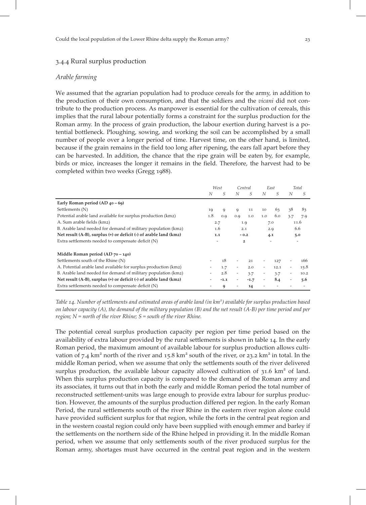#### 3.4.4 Rural surplus production

#### Arable farming

We assumed that the agrarian population had to produce cereals for the army, in addition to the production of their own consumption, and that the soldiers and the vicani did not contribute to the production process. As manpower is essential for the cultivation of cereals, this implies that the rural labour potentially forms a constraint for the surplus production for the Roman army. In the process of grain production, the labour exertion during harvest is a potential bottleneck. Ploughing, sowing, and working the soil can be accomplished by a small number of people over a longer period of time. Harvest time, on the other hand, is limited, because if the grain remains in the field too long after ripening, the ears fall apart before they can be harvested. In addition, the chance that the ripe grain will be eaten by, for example, birds or mice, increases the longer it remains in the field. Therefore, the harvest had to be completed within two weeks (Gregg 1988).

|                                                                   | West          |        | Central                  |        | East                     |      | Total                    |      |
|-------------------------------------------------------------------|---------------|--------|--------------------------|--------|--------------------------|------|--------------------------|------|
|                                                                   | N             | S      | N                        | S      | N                        | S    | N                        | S    |
| Early Roman period $(AD_40 - 69)$                                 |               |        |                          |        |                          |      |                          |      |
| Settlements (N)                                                   | 19            | 9      | 9                        | 11     | 10                       | 63   | 38                       | 83   |
| Potential arable land available for surplus production (km2)      | 1.8           | 0.9    | 0.9                      | 1.0    | 1.0                      | 6.0  | 3.7                      | 7.9  |
| A. Sum arable fields (km2)                                        | 2.7           |        | 1.9                      |        | 7.0                      |      |                          | 11.6 |
| B. Arable land needed for demand of military population (km2)     | 1.6           |        |                          | 2.1    |                          | 2.9  |                          | 6.6  |
| Net result (A-B), surplus (+) or deficit (-) of arable land (km2) | 1.1<br>$-0.2$ |        | 4.1                      |        |                          | 5.0  |                          |      |
| Extra settlements needed to compensate deficit (N)                |               |        | $\overline{\mathbf{c}}$  |        |                          |      |                          |      |
| Middle Roman period $(AD 70 - 140)$                               |               |        |                          |        |                          |      |                          |      |
| Settlements south of the Rhine (N)                                |               | 18     | $\overline{\phantom{a}}$ | 21     |                          | 127  |                          | 166  |
| A. Potential arable land available for surplus production (km2)   |               | 1.7    | $\overline{\phantom{a}}$ | 2.0    | $\overline{\phantom{a}}$ | 12.1 | $\overline{\phantom{a}}$ | 15.8 |
| B. Arable land needed for demand of military population (km2)     | 2.8<br>۰      |        | $\overline{\phantom{a}}$ | 3.7    | -                        | 3.7  | $\overline{\phantom{a}}$ | 10.2 |
| Net result (A-B), surplus (+) or deficit (-) of arable land (km2) |               | $-1.1$ | -                        | $-1.7$ | -                        | 8.4  | -                        | 5.6  |
| Extra settlements needed to compensate deficit (N)                |               | 9      |                          | 14     |                          |      |                          |      |

Table 14. Number of settlements and estimated areas of arable land (in km<sup>2</sup>) available for surplus production based on labour capacity  $(A)$ , the demand of the military population  $(B)$  and the net result  $(A-B)$  per time period and per region;  $N$  = north of the river Rhine;  $S$  = south of the river Rhine.

The potential cereal surplus production capacity per region per time period based on the availability of extra labour provided by the rural settlements is shown in table 14. In the early Roman period, the maximum amount of available labour for surplus production allows cultivation of 7.4 km<sup>2</sup> north of the river and 15.8 km<sup>2</sup> south of the river, or 23.2 km<sup>2</sup> in total. In the middle Roman period, when we assume that only the settlements south of the river delivered surplus production, the available labour capacity allowed cultivation of  $31.6 \text{ km}^2$  of land. When this surplus production capacity is compared to the demand of the Roman army and its associates, it turns out that in both the early and middle Roman period the total number of reconstructed settlement-units was large enough to provide extra labour for surplus production. However, the amounts of the surplus production differed per region. In the early Roman Period, the rural settlements south of the river Rhine in the eastern river region alone could have provided sufficient surplus for that region, while the forts in the central peat region and in the western coastal region could only have been supplied with enough emmer and barley if the settlements on the northern side of the Rhine helped in providing it. In the middle Roman period, when we assume that only settlements south of the river produced surplus for the Roman army, shortages must have occurred in the central peat region and in the western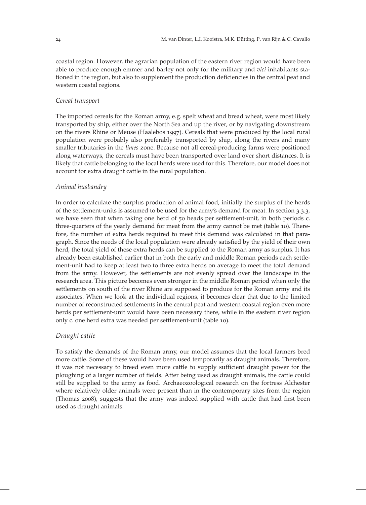coastal region. However, the agrarian population of the eastern river region would have been able to produce enough emmer and barley not only for the military and vici inhabitants stationed in the region, but also to supplement the production deficiencies in the central peat and western coastal regions.

#### Cereal transport

The imported cereals for the Roman army, e.g. spelt wheat and bread wheat, were most likely transported by ship, either over the North Sea and up the river, or by navigating downstream on the rivers Rhine or Meuse (Haalebos 1997). Cereals that were produced by the local rural population were probably also preferably transported by ship, along the rivers and many smaller tributaries in the limes zone. Because not all cereal-producing farms were positioned along waterways, the cereals must have been transported over land over short distances. It is likely that cattle belonging to the local herds were used for this. Therefore, our model does not account for extra draught cattle in the rural population.

# Animal husbandry

In order to calculate the surplus production of animal food, initially the surplus of the herds of the settlement-units is assumed to be used for the army's demand for meat. In section 3.3.3, we have seen that when taking one herd of 50 heads per settlement-unit, in both periods c. three-quarters of the yearly demand for meat from the army cannot be met (table 10). Therefore, the number of extra herds required to meet this demand was calculated in that paragraph. Since the needs of the local population were already satisfied by the yield of their own herd, the total yield of these extra herds can be supplied to the Roman army as surplus. It has already been established earlier that in both the early and middle Roman periods each settlement-unit had to keep at least two to three extra herds on average to meet the total demand from the army. However, the settlements are not evenly spread over the landscape in the research area. This picture becomes even stronger in the middle Roman period when only the settlements on south of the river Rhine are supposed to produce for the Roman army and its associates. When we look at the individual regions, it becomes clear that due to the limited number of reconstructed settlements in the central peat and western coastal region even more herds per settlement-unit would have been necessary there, while in the eastern river region only c. one herd extra was needed per settlement-unit (table 10).

# Draught cattle

To satisfy the demands of the Roman army, our model assumes that the local farmers bred more cattle. Some of these would have been used temporarily as draught animals. Therefore, it was not necessary to breed even more cattle to supply sufficient draught power for the ploughing of a larger number of fields. After being used as draught animals, the cattle could still be supplied to the army as food. Archaeozoological research on the fortress Alchester where relatively older animals were present than in the contemporary sites from the region (Thomas 2008), suggests that the army was indeed supplied with cattle that had first been used as draught animals.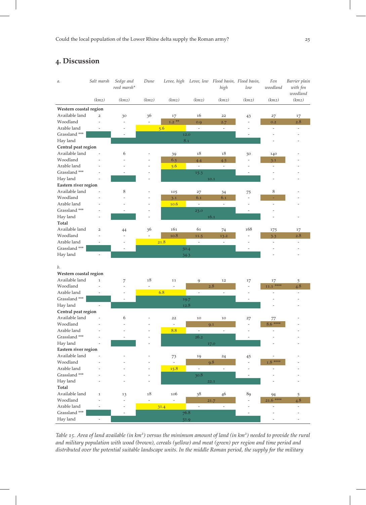# . Discussion

| а.                     | Salt marsh               | Sedge and<br>reed marsh* | Dune           | Levee, high              |                              | Levee, low Flood basin, Flood basin,<br>high | low                      | Fen<br>woodland          | Barrier plain<br>with fen |
|------------------------|--------------------------|--------------------------|----------------|--------------------------|------------------------------|----------------------------------------------|--------------------------|--------------------------|---------------------------|
|                        | (km2)                    | (km2)                    | (km2)          | (km2)                    | (km2)                        | (km2)                                        | (km2)                    | (km2)                    | woodland<br>(km2)         |
| Western coastal region |                          |                          |                |                          |                              |                                              |                          |                          |                           |
| Available land         | $\overline{2}$           | 30                       | 36             | 17                       | 16                           | 22                                           | 43                       | 27                       | 17                        |
| Woodland               | L,                       | ÷,                       | $\overline{a}$ | $1.2$ **                 | 0.9                          | 2.7                                          | $\overline{\phantom{a}}$ | 0.2                      | 2.8                       |
| Arable land            |                          | ÷                        |                | 5.6                      | $\overline{\phantom{a}}$     | $\overline{\phantom{a}}$                     | ٠                        | $\overline{a}$           | $\sim$                    |
| Grassland ***          |                          | $\overline{\phantom{a}}$ |                |                          | 12.0                         |                                              | $\overline{\phantom{a}}$ |                          |                           |
| Hay land               |                          |                          |                | $8.1\,$                  |                              |                                              |                          |                          |                           |
| Central peat region    |                          |                          |                |                          |                              |                                              |                          |                          |                           |
| Available land         | ÷,                       | 6                        |                | 39                       | 18                           | 18                                           | 50                       | 140                      |                           |
| Woodland               |                          |                          |                | 6.5                      | 4.4                          | 4.5                                          | $\overline{\phantom{a}}$ | 3.1                      |                           |
| Arable land            |                          |                          |                | 5.6                      | $\overline{\phantom{a}}$     | $\frac{1}{2}$                                | ٠                        | ÷,                       |                           |
| Grassland ***          |                          |                          |                |                          | 15.3                         |                                              | L,                       |                          |                           |
| Hay land               |                          |                          |                |                          |                              | 10.1                                         |                          |                          |                           |
| Eastern river region   |                          |                          |                |                          |                              |                                              |                          |                          |                           |
| Available land         |                          | 8                        |                | 105                      | 27                           | 34                                           | 75                       | 8                        |                           |
| Woodland               |                          |                          |                | 3.1                      | 6.1                          | 6.1                                          | $\overline{\phantom{a}}$ |                          |                           |
| Arable land            |                          |                          |                | 10.6                     | $\bar{\phantom{a}}$          | $\overline{\phantom{a}}$                     | $\overline{a}$           |                          |                           |
| Grassland ***          |                          | $\overline{\phantom{a}}$ |                |                          | 23.0                         |                                              | $\overline{\phantom{a}}$ |                          |                           |
| Hay land               |                          |                          |                |                          |                              | 16.1                                         |                          |                          |                           |
| <b>Total</b>           |                          |                          |                |                          |                              |                                              |                          |                          |                           |
| Available land         | $\overline{\mathbf{c}}$  | 44                       | 36             | 161                      | 61                           | 74                                           | 168                      | 175                      | 17                        |
| Woodland               | L,                       | ÷,                       | $\overline{a}$ | 10.8                     | 11.5                         | 13.2                                         | $\overline{\phantom{a}}$ | 3.3                      | 2.8                       |
| Arable land            |                          |                          |                | 21.8                     | $\overline{\phantom{a}}$     | $\overline{\phantom{a}}$                     |                          | $\overline{\phantom{0}}$ |                           |
| Grassland ***          |                          | L,                       |                | 50.4                     |                              |                                              |                          |                          |                           |
| Hay land               | $\frac{1}{2}$            |                          |                | 34.3                     |                              |                                              |                          |                          |                           |
| b.                     |                          |                          |                |                          |                              |                                              |                          |                          |                           |
| Western coastal region |                          |                          |                |                          |                              |                                              |                          |                          |                           |
| Available land         | $\mathbf 1$              | 7                        | 18             | 11                       | 9                            | 12                                           | 17                       | 17                       | 5                         |
| Woodland               |                          | L,                       | $\overline{a}$ |                          |                              | 2.8                                          | $\overline{\phantom{a}}$ | $11.1$ ****              | 4.8                       |
| Arable land            |                          |                          |                | 6.8                      | $\qquad \qquad \blacksquare$ | $\overline{\phantom{a}}$                     | ÷,                       |                          |                           |
| Grassland ***          |                          | $\overline{\phantom{a}}$ |                | 19.7                     |                              |                                              | $\frac{1}{2}$            |                          |                           |
| Hay land               | $\overline{\phantom{a}}$ |                          |                | 12.8                     |                              |                                              |                          |                          |                           |
| Central peat region    |                          |                          |                |                          |                              |                                              |                          |                          |                           |
| Available land         |                          | 6                        |                | 22                       | 10                           | 10                                           | 27                       | 77                       |                           |
| Woodland               |                          |                          |                | Ξ                        |                              | 9.1                                          | $\bar{\phantom{a}}$      | $8.6***$                 |                           |
| Arable land            |                          |                          |                | 8.8                      | $\overline{a}$               |                                              |                          |                          |                           |
| Grassland ***          |                          |                          |                |                          | 26.2                         |                                              |                          |                          |                           |
| Hay land               |                          |                          |                |                          |                              | 17.0                                         |                          |                          |                           |
| Eastern river region   |                          |                          |                |                          |                              |                                              |                          |                          |                           |
| Available land         |                          |                          |                | 73                       | 19                           | 24                                           | 45                       |                          |                           |
| Woodland               |                          |                          |                | $\overline{\phantom{a}}$ |                              | 9.8                                          | $\overline{\phantom{a}}$ | $1.8***$                 |                           |
| Arable land            |                          |                          |                | 15.8                     | $\overline{\phantom{a}}$     | $\overline{\phantom{a}}$                     |                          |                          |                           |
| Grassland ***          |                          |                          |                |                          | 30.8                         |                                              | L,                       |                          |                           |
| Hay land               |                          |                          |                |                          |                              | 22.1                                         |                          |                          |                           |
| Total                  |                          |                          |                |                          |                              |                                              |                          |                          |                           |
| Available land         | $\mathbf 1$              | 13                       | 18             | 106                      | 38                           | 46                                           | 89                       | 94                       | 5                         |
| Woodland               |                          | ÷,                       | $\overline{a}$ | $\overline{a}$           |                              | 21.7                                         | ÷.                       | $21.6$ ****              | 4.8                       |
| Arable land            |                          | ÷                        |                | 31.4                     | ä,                           | $\overline{\phantom{a}}$                     |                          |                          | $\overline{\phantom{a}}$  |
| Grassland ***          |                          | $\overline{\phantom{a}}$ |                | 76.8                     |                              |                                              | $\overline{\phantom{a}}$ |                          |                           |
| Hay land               | ÷                        |                          |                |                          | 51.9                         |                                              |                          |                          |                           |

Table 15. Area of land available (in  $km^2$ ) versus the minimum amount of land (in  $km^2$ ) needed to provide the rural and military population with wood (brown), cereals (yellow) and meat (green) per region and time period and distributed over the potential suitable landscape units. In the middle Roman period, the supply for the military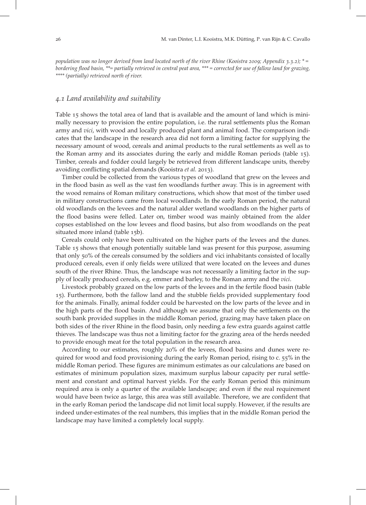population was no longer derived from land located north of the river Rhine (Kooistra 2009; Appendix 3.3.2);  $* =$ bordering flood basin, \*\*= partially retrieved in central peat area, \*\*\* = corrected for use of fallow land for grazing, \*\*\*\* (partially) retrieved north of river.

# . Land availability and suitability

Table 15 shows the total area of land that is available and the amount of land which is minimally necessary to provision the entire population, i.e. the rural settlements plus the Roman army and vici, with wood and locally produced plant and animal food. The comparison indicates that the landscape in the research area did not form a limiting factor for supplying the necessary amount of wood, cereals and animal products to the rural settlements as well as to the Roman army and its associates during the early and middle Roman periods (table 15). Timber, cereals and fodder could largely be retrieved from different landscape units, thereby avoiding conflicting spatial demands (Kooistra et al. 2013).

Timber could be collected from the various types of woodland that grew on the levees and in the flood basin as well as the vast fen woodlands further away. This is in agreement with the wood remains of Roman military constructions, which show that most of the timber used in military constructions came from local woodlands. In the early Roman period, the natural old woodlands on the levees and the natural alder wetland woodlands on the higher parts of the flood basins were felled. Later on, timber wood was mainly obtained from the alder copses established on the low levees and flood basins, but also from woodlands on the peat situated more inland (table 15b).

Cereals could only have been cultivated on the higher parts of the levees and the dunes. Table 15 shows that enough potentially suitable land was present for this purpose, assuming that only 50% of the cereals consumed by the soldiers and vici inhabitants consisted of locally produced cereals, even if only fields were utilized that were located on the levees and dunes south of the river Rhine. Thus, the landscape was not necessarily a limiting factor in the supply of locally produced cereals, e.g. emmer and barley, to the Roman army and the vici.

Livestock probably grazed on the low parts of the levees and in the fertile flood basin (table ). Furthermore, both the fallow land and the stubble fields provided supplementary food for the animals. Finally, animal fodder could be harvested on the low parts of the levee and in the high parts of the flood basin. And although we assume that only the settlements on the south bank provided supplies in the middle Roman period, grazing may have taken place on both sides of the river Rhine in the flood basin, only needing a few extra guards against cattle thieves. The landscape was thus not a limiting factor for the grazing area of the herds needed to provide enough meat for the total population in the research area.

According to our estimates, roughly 20% of the levees, flood basins and dunes were required for wood and food provisioning during the early Roman period, rising to c. 55% in the middle Roman period. These figures are minimum estimates as our calculations are based on estimates of minimum population sizes, maximum surplus labour capacity per rural settlement and constant and optimal harvest yields. For the early Roman period this minimum required area is only a quarter of the available landscape; and even if the real requirement would have been twice as large, this area was still available. Therefore, we are confident that in the early Roman period the landscape did not limit local supply. However, if the results are indeed under-estimates of the real numbers, this implies that in the middle Roman period the landscape may have limited a completely local supply.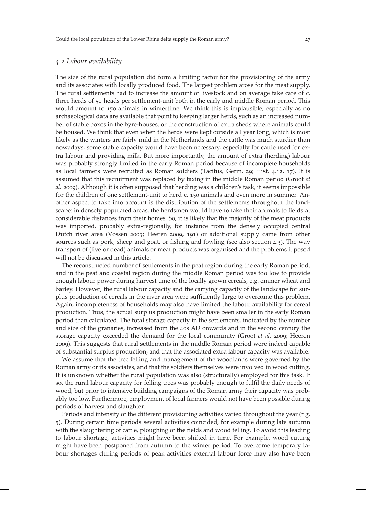#### . Labour availability

The size of the rural population did form a limiting factor for the provisioning of the army and its associates with locally produced food. The largest problem arose for the meat supply. The rural settlements had to increase the amount of livestock and on average take care of c. three herds of 50 heads per settlement-unit both in the early and middle Roman period. This would amount to 150 animals in wintertime. We think this is implausible, especially as no archaeological data are available that point to keeping larger herds, such as an increased number of stable boxes in the byre-houses, or the construction of extra sheds where animals could be housed. We think that even when the herds were kept outside all year long, which is most likely as the winters are fairly mild in the Netherlands and the cattle was much sturdier than nowadays, some stable capacity would have been necessary, especially for cattle used for extra labour and providing milk. But more importantly, the amount of extra (herding) labour was probably strongly limited in the early Roman period because of incomplete households as local farmers were recruited as Roman soldiers (Tacitus, Germ. 29; Hist. 4.12, 17). It is assumed that this recruitment was replaced by taxing in the middle Roman period (Groot et al. 2009). Although it is often supposed that herding was a children's task, it seems impossible for the children of one settlement-unit to herd c. 150 animals and even more in summer. Another aspect to take into account is the distribution of the settlements throughout the landscape: in densely populated areas, the herdsmen would have to take their animals to fields at considerable distances from their homes. So, it is likely that the majority of the meat products was imported, probably extra-regionally, for instance from the densely occupied central Dutch river area (Vossen 2003; Heeren 2009, 191) or additional supply came from other sources such as pork, sheep and goat, or fishing and fowling (see also section 4.3). The way transport of (live or dead) animals or meat products was organised and the problems it posed will not be discussed in this article.

The reconstructed number of settlements in the peat region during the early Roman period, and in the peat and coastal region during the middle Roman period was too low to provide enough labour power during harvest time of the locally grown cereals, e.g. emmer wheat and barley. However, the rural labour capacity and the carrying capacity of the landscape for surplus production of cereals in the river area were sufficiently large to overcome this problem. Again, incompleteness of households may also have limited the labour availability for cereal production. Thus, the actual surplus production might have been smaller in the early Roman period than calculated. The total storage capacity in the settlements, indicated by the number and size of the granaries, increased from the 40s AD onwards and in the second century the storage capacity exceeded the demand for the local community (Groot et al. 2009; Heeren ). This suggests that rural settlements in the middle Roman period were indeed capable of substantial surplus production, and that the associated extra labour capacity was available.

We assume that the tree felling and management of the woodlands were governed by the Roman army or its associates, and that the soldiers themselves were involved in wood cutting. It is unknown whether the rural population was also (structurally) employed for this task. If so, the rural labour capacity for felling trees was probably enough to fulfil the daily needs of wood, but prior to intensive building campaigns of the Roman army their capacity was probably too low. Furthermore, employment of local farmers would not have been possible during periods of harvest and slaughter.

Periods and intensity of the different provisioning activities varied throughout the year (fig. ). During certain time periods several activities coincided, for example during late autumn with the slaughtering of cattle, ploughing of the fields and wood felling. To avoid this leading to labour shortage, activities might have been shifted in time. For example, wood cutting might have been postponed from autumn to the winter period. To overcome temporary labour shortages during periods of peak activities external labour force may also have been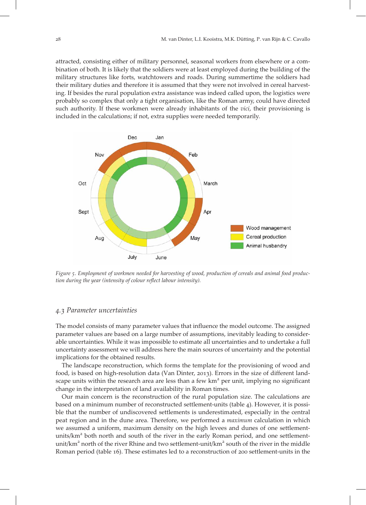attracted, consisting either of military personnel, seasonal workers from elsewhere or a combination of both. It is likely that the soldiers were at least employed during the building of the military structures like forts, watchtowers and roads. During summertime the soldiers had their military duties and therefore it is assumed that they were not involved in cereal harvesting. If besides the rural population extra assistance was indeed called upon, the logistics were probably so complex that only a tight organisation, like the Roman army, could have directed such authority. If these workmen were already inhabitants of the *vici*, their provisioning is included in the calculations; if not, extra supplies were needed temporarily.



Figure 5. Employment of workmen needed for harvesting of wood, production of cereals and animal food production during the year (intensity of colour reflect labour intensity).

#### . Parameter uncertainties

The model consists of many parameter values that influence the model outcome. The assigned parameter values are based on a large number of assumptions, inevitably leading to considerable uncertainties. While it was impossible to estimate all uncertainties and to undertake a full uncertainty assessment we will address here the main sources of uncertainty and the potential implications for the obtained results.

The landscape reconstruction, which forms the template for the provisioning of wood and food, is based on high-resolution data (Van Dinter, 2013). Errors in the size of different landscape units within the research area are less than a few  $km<sup>2</sup>$  per unit, implying no significant change in the interpretation of land availability in Roman times.

Our main concern is the reconstruction of the rural population size. The calculations are based on a minimum number of reconstructed settlement-units (table 4). However, it is possible that the number of undiscovered settlements is underestimated, especially in the central peat region and in the dune area. Therefore, we performed a maximum calculation in which we assumed a uniform, maximum density on the high levees and dunes of one settlementunits/ $km<sup>2</sup>$  both north and south of the river in the early Roman period, and one settlementunit/km<sup>2</sup> north of the river Rhine and two settlement-unit/km<sup>2</sup> south of the river in the middle Roman period (table 16). These estimates led to a reconstruction of 200 settlement-units in the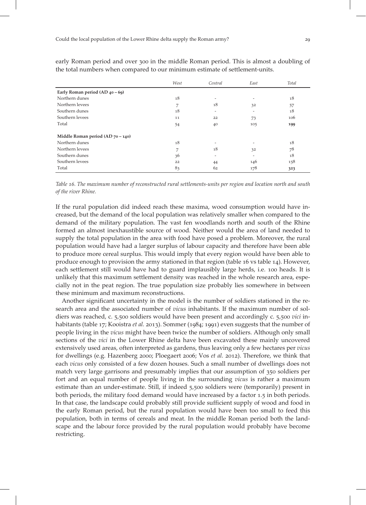|                                      | West | Central | East | Total |
|--------------------------------------|------|---------|------|-------|
| Early Roman period $(AD_40 - 69)$    |      |         |      |       |
| Northern dunes                       | 18   |         |      | 18    |
| Northern levees                      | 7    | 18      | 32   | 57    |
| Southern dunes                       | 18   |         | -    | 18    |
| Southern levees                      | 11   | 22      | 73   | 106   |
| Total                                | 54   | 40      | 105  | 199   |
| Middle Roman period (AD $70 - 140$ ) |      |         |      |       |
| Northern dunes                       | 18   |         |      | 18    |
| Northern levees                      | 7    | 18      | 32   | 78    |
| Southern dunes                       | 36   |         |      | 18    |
| Southern levees                      | 22   | 44      | 146  | 158   |
| Total                                | 83   | 62      | 178  | 323   |

early Roman period and over 300 in the middle Roman period. This is almost a doubling of the total numbers when compared to our minimum estimate of settlement-units.

Table 16. The maximum number of reconstructed rural settlements-units per region and location north and south of the river Rhine.

If the rural population did indeed reach these maxima, wood consumption would have increased, but the demand of the local population was relatively smaller when compared to the demand of the military population. The vast fen woodlands north and south of the Rhine formed an almost inexhaustible source of wood. Neither would the area of land needed to supply the total population in the area with food have posed a problem. Moreover, the rural population would have had a larger surplus of labour capacity and therefore have been able to produce more cereal surplus. This would imply that every region would have been able to produce enough to provision the army stationed in that region (table 16 vs table 14). However, each settlement still would have had to guard implausibly large herds, *i.e.* 100 heads. It is unlikely that this maximum settlement density was reached in the whole research area, especially not in the peat region. The true population size probably lies somewhere in between these minimum and maximum reconstructions.

Another significant uncertainty in the model is the number of soldiers stationed in the research area and the associated number of vicus inhabitants. If the maximum number of soldiers was reached, c. 5,500 soldiers would have been present and accordingly c. 5,500 vici inhabitants (table 17; Kooistra et al. 2013). Sommer (1984; 1991) even suggests that the number of people living in the vicus might have been twice the number of soldiers. Although only small sections of the vici in the Lower Rhine delta have been excavated these mainly uncovered extensively used areas, often interpreted as gardens, thus leaving only a few hectares per vicus for dwellings (e.g. Hazenberg 2000; Ploegaert 2006; Vos et al. 2012). Therefore, we think that each vicus only consisted of a few dozen houses. Such a small number of dwellings does not match very large garrisons and presumably implies that our assumption of 350 soldiers per fort and an equal number of people living in the surrounding vicus is rather a maximum estimate than an under-estimate. Still, if indeed 5,500 soldiers were (temporarily) present in both periods, the military food demand would have increased by a factor 1.5 in both periods. In that case, the landscape could probably still provide sufficient supply of wood and food in the early Roman period, but the rural population would have been too small to feed this population, both in terms of cereals and meat. In the middle Roman period both the landscape and the labour force provided by the rural population would probably have become restricting.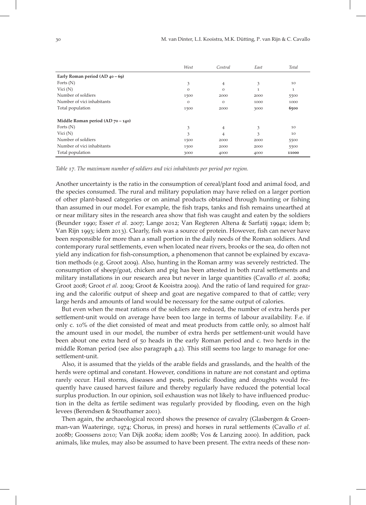|                                      | West     | Central  | East | Total |
|--------------------------------------|----------|----------|------|-------|
| Early Roman period $(AD_40 - 69)$    |          |          |      |       |
| Forts $(N)$                          | 3        | 4        | 3    | 10    |
| Vici $(N)$                           | $\Omega$ | $\Omega$ | 1    | 1     |
| Number of soldiers                   | 1500     | 2000     | 2000 | 5500  |
| Number of vici inhabitants           | $\Omega$ | $\Omega$ | 1000 | 1000  |
| Total population                     | 1500     | 2000     | 3000 | 6500  |
| Middle Roman period (AD $70 - 140$ ) |          |          |      |       |
| Forts $(N)$                          | 3        | 4        | 3    | 10    |
| Vici $(N)$                           | 3        | 4        | 3    | 10    |
| Number of soldiers                   | 1500     | 2000     | 2000 | 5500  |
| Number of vici inhabitants           | 1500     | 2000     | 2000 | 5500  |
| Total population                     | 3000     | 4000     | 4000 | 11000 |

Table 17. The maximum number of soldiers and vici inhabitants per period per region.

Another uncertainty is the ratio in the consumption of cereal/plant food and animal food, and the species consumed. The rural and military population may have relied on a larger portion of other plant-based categories or on animal products obtained through hunting or fishing than assumed in our model. For example, the fish traps, tanks and fish remains unearthed at or near military sites in the research area show that fish was caught and eaten by the soldiers (Beunder 1990; Esser et al. 2007; Lange 2012; Van Regteren Altena & Sarfatij 1994a; idem b; Van Rijn 1993; idem 2013). Clearly, fish was a source of protein. However, fish can never have been responsible for more than a small portion in the daily needs of the Roman soldiers. And contemporary rural settlements, even when located near rivers, brooks or the sea, do often not yield any indication for fish-consumption, a phenomenon that cannot be explained by excavation methods (e.g. Groot 2009). Also, hunting in the Roman army was severely restricted. The consumption of sheep/goat, chicken and pig has been attested in both rural settlements and military installations in our research area but never in large quantities (Cavallo et al. 2008a; Groot 2008; Groot et al. 2009; Groot & Kooistra 2009). And the ratio of land required for grazing and the calorific output of sheep and goat are negative compared to that of cattle; very large herds and amounts of land would be necessary for the same output of calories.

But even when the meat rations of the soldiers are reduced, the number of extra herds per settlement-unit would on average have been too large in terms of labour availability. F.e. if only c. 10% of the diet consisted of meat and meat products from cattle only, so almost half the amount used in our model, the number of extra herds per settlement-unit would have been about one extra herd of  $50$  heads in the early Roman period and c. two herds in the middle Roman period (see also paragraph 4.2). This still seems too large to manage for onesettlement-unit.

Also, it is assumed that the yields of the arable fields and grasslands, and the health of the herds were optimal and constant. However, conditions in nature are not constant and optima rarely occur. Hail storms, diseases and pests, periodic flooding and droughts would frequently have caused harvest failure and thereby regularly have reduced the potential local surplus production. In our opinion, soil exhaustion was not likely to have influenced production in the delta as fertile sediment was regularly provided by flooding, even on the high levees (Berendsen & Stouthamer 2001).

Then again, the archaeological record shows the presence of cavalry (Glasbergen & Groenman-van Waateringe,  $1974$ ; Chorus, in press) and horses in rural settlements (Cavallo *et al.*) 2008b; Goossens 2010; Van Dijk 2008a; idem 2008b; Vos & Lanzing 2000). In addition, pack animals, like mules, may also be assumed to have been present. The extra needs of these non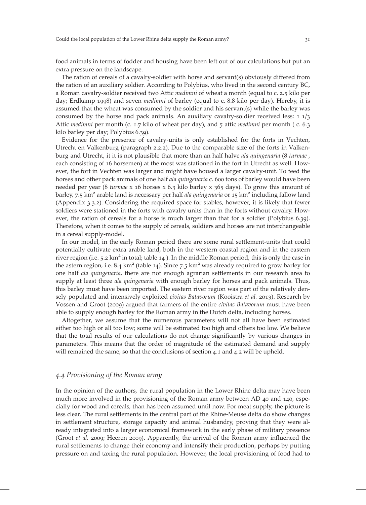food animals in terms of fodder and housing have been left out of our calculations but put an extra pressure on the landscape.

The ration of cereals of a cavalry-soldier with horse and servant(s) obviously differed from the ration of an auxiliary soldier. According to Polybius, who lived in the second century BC, a Roman cavalry-soldier received two Attic *medimni* of wheat a month (equal to c. 2.5 kilo per day; Erdkamp 1998) and seven *medimni* of barley (equal to c. 8.8 kilo per day). Hereby, it is assumed that the wheat was consumed by the soldier and his servant(s) while the barley was consumed by the horse and pack animals. An auxiliary cavalry-soldier received less:  $\frac{1}{3}$ Attic *medimni* per month (c. 1.7 kilo of wheat per day), and  $\frac{1}{2}$  attic *medimni* per month (c. 6.3) kilo barley per day; Polybius 6.39).

Evidence for the presence of cavalry-units is only established for the forts in Vechten, Utrecht en Valkenburg (paragraph 2.2.2). Due to the comparable size of the forts in Valkenburg and Utrecht, it it is not plausible that more than an half halve *ala quingenaria* (8 turmae, each consisting of 16 horsemen) at the most was stationed in the fort in Utrecht as well. However, the fort in Vechten was larger and might have housed a larger cavalry-unit. To feed the horses and other pack animals of one half ala quingenaria c. 600 tons of barley would have been needed per year (8 turmae x 16 horses x 6.3 kilo barley x  $365$  days). To grow this amount of barley, 7.5  $km^2$  arable land is necessary per half *ala quingenaria* or 15  $km^2$  including fallow land (Appendix  $3.3.2$ ). Considering the required space for stables, however, it is likely that fewer soldiers were stationed in the forts with cavalry units than in the forts without cavalry. However, the ration of cereals for a horse is much larger than that for a soldier (Polybius 6.39). Therefore, when it comes to the supply of cereals, soldiers and horses are not interchangeable in a cereal supply-model.

In our model, in the early Roman period there are some rural settlement-units that could potentially cultivate extra arable land, both in the western coastal region and in the eastern river region (i.e.  $5.2 \text{ km}^2$  in total; table  $14$ ). In the middle Roman period, this is only the case in the astern region, i.e. 8.4  $km<sup>2</sup>$  (table 14). Since 7.5  $km<sup>2</sup>$  was already required to grow barley for one half ala quingenaria, there are not enough agrarian settlements in our research area to supply at least three ala quingenaria with enough barley for horses and pack animals. Thus, this barley must have been imported. The eastern river region was part of the relatively densely populated and intensively exploited *civitas Batavorum* (Kooistra *et al.* 2013). Research by Vossen and Groot (2009) argued that farmers of the entire civitas Batavorum must have been able to supply enough barley for the Roman army in the Dutch delta, including horses.

Altogether, we assume that the numerous parameters will not all have been estimated either too high or all too low; some will be estimated too high and others too low. We believe that the total results of our calculations do not change significantly by various changes in parameters. This means that the order of magnitude of the estimated demand and supply will remained the same, so that the conclusions of section  $4.1$  and  $4.2$  will be upheld.

# 4.4 Provisioning of the Roman army

In the opinion of the authors, the rural population in the Lower Rhine delta may have been much more involved in the provisioning of the Roman army between AD 40 and 140, especially for wood and cereals, than has been assumed until now. For meat supply, the picture is less clear. The rural settlements in the central part of the Rhine-Meuse delta do show changes in settlement structure, storage capacity and animal husbandry, proving that they were already integrated into a larger economical framework in the early phase of military presence (Groot et al. 2009; Heeren 2009). Apparently, the arrival of the Roman army influenced the rural settlements to change their economy and intensify their production, perhaps by putting pressure on and taxing the rural population. However, the local provisioning of food had to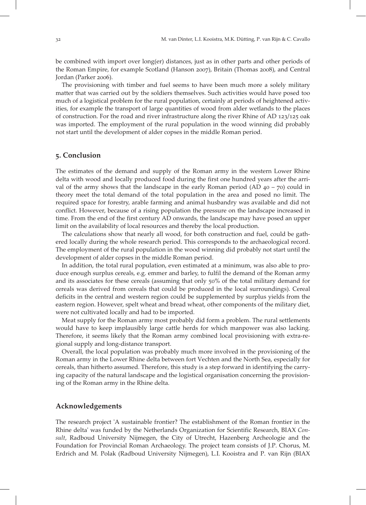be combined with import over long(er) distances, just as in other parts and other periods of the Roman Empire, for example Scotland (Hanson 2007), Britain (Thomas 2008), and Central Jordan (Parker 2006).

The provisioning with timber and fuel seems to have been much more a solely military matter that was carried out by the soldiers themselves. Such activities would have posed too much of a logistical problem for the rural population, certainly at periods of heightened activities, for example the transport of large quantities of wood from alder wetlands to the places of construction. For the road and river infrastructure along the river Rhine of AD  $123/125$  oak was imported. The employment of the rural population in the wood winning did probably not start until the development of alder copses in the middle Roman period.

# . Conclusion

The estimates of the demand and supply of the Roman army in the western Lower Rhine delta with wood and locally produced food during the first one hundred years after the arrival of the army shows that the landscape in the early Roman period (AD  $40 - 70$ ) could in theory meet the total demand of the total population in the area and posed no limit. The required space for forestry, arable farming and animal husbandry was available and did not conflict. However, because of a rising population the pressure on the landscape increased in time. From the end of the first century AD onwards, the landscape may have posed an upper limit on the availability of local resources and thereby the local production.

The calculations show that nearly all wood, for both construction and fuel, could be gathered locally during the whole research period. This corresponds to the archaeological record. The employment of the rural population in the wood winning did probably not start until the development of alder copses in the middle Roman period.

In addition, the total rural population, even estimated at a minimum, was also able to produce enough surplus cereals, e.g. emmer and barley, to fulfil the demand of the Roman army and its associates for these cereals (assuming that only 50% of the total military demand for cereals was derived from cereals that could be produced in the local surroundings). Cereal deficits in the central and western region could be supplemented by surplus yields from the eastern region. However, spelt wheat and bread wheat, other components of the military diet, were not cultivated locally and had to be imported.

Meat supply for the Roman army most probably did form a problem. The rural settlements would have to keep implausibly large cattle herds for which manpower was also lacking. Therefore, it seems likely that the Roman army combined local provisioning with extra-regional supply and long-distance transport.

Overall, the local population was probably much more involved in the provisioning of the Roman army in the Lower Rhine delta between fort Vechten and the North Sea, especially for cereals, than hitherto assumed. Therefore, this study is a step forward in identifying the carrying capacity of the natural landscape and the logistical organisation concerning the provisioning of the Roman army in the Rhine delta.

#### Acknowledgements

The research project 'A sustainable frontier? The establishment of the Roman frontier in the Rhine delta' was funded by the Netherlands Organization for Scientific Research, BIAX Consult, Radboud University Nijmegen, the City of Utrecht, Hazenberg Archeologie and the Foundation for Provincial Roman Archaeology. The project team consists of J.P. Chorus, M. Erdrich and M. Polak (Radboud University Nijmegen), L.I. Kooistra and P. van Rijn (BIAX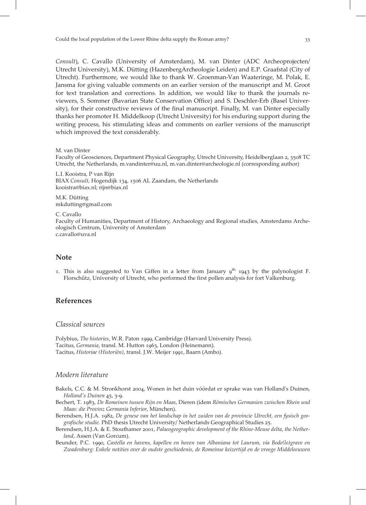Consult), C. Cavallo (University of Amsterdam), M. van Dinter (ADC Archeoprojecten/ Utrecht University), M.K. Dütting (HazenbergArcheologie Leiden) and E.P. Graafstal (City of Utrecht). Furthermore, we would like to thank W. Groenman-Van Waateringe, M. Polak, E. Jansma for giving valuable comments on an earlier version of the manuscript and M. Groot for text translation and corrections. In addition, we would like to thank the journals reviewers, S. Sommer (Bavarian State Conservation Office) and S. Deschler-Erb (Basel University), for their constructive reviews of the final manuscript. Finally, M. van Dinter especially thanks her promoter H. Middelkoop (Utrecht University) for his enduring support during the writing process, his stimulating ideas and comments on earlier versions of the manuscript which improved the text considerably.

M. van Dinter

Faculty of Geosciences, Department Physical Geography, Utrecht University, Heidelberglaan 2, 3508 TC Utrecht, the Netherlands, m.vandinter@uu.nl, m.van.dinter@archeologie.nl (corresponding author)

L.I. Kooistra, P van Rijn BIAX Consult, Hogendijk 134, 1506 AL Zaandam, the Netherlands kooistra@biax.nl; rijn@biax.nl

M.K. Dütting mkdutting@gmail.com

C. Cavallo

Faculty of Humanities, Department of History, Archaeology and Regional studies, Amsterdams Archeologisch Centrum, University of Amsterdam c.cavallo@uva.nl

#### Note

1. This is also suggested to Van Giffen in a letter from January  $g<sup>th</sup>$  1943 by the palynologist F. Florschűtz, University of Utrecht, who performed the first pollen analysis for fort Valkenburg.

# References

#### Classical sources

Polybius, The histories, W.R. Paton 1999, Cambridge (Harvard University Press). Tacitus, Germania, transl. M. Hutton 1963, London (Heinemann). Tacitus, Historiae (Historiën), transl. J.W. Meijer 1991, Baarn (Ambo).

#### Modern literature

- Bakels, C.C. & M. Stronkhorst 2004, Wonen in het duin vóórdat er sprake was van Holland's Duinen, Holland's Duinen 45, 3-9.
- Bechert, T. 1983, De Romeinen tussen Rijn en Maas, Dieren (idem Römisches Germanien zwischen Rhein und Maas: die Provinz Germania Inferior, München).
- Berendsen, H.J.A. 1982, De genese van het landschap in het zuiden van de provincie Utrecht, een fysisch geografische studie. PhD thesis Utrecht University/ Netherlands Geographical Studies 25.
- Berendsen, H.J.A. & E. Stouthamer 2001, Palaeogeographic development of the Rhine-Meuse delta, the Netherland, Assen (Van Gorcum).
- Beunder, P.C. 1990, Castella en havens, kapellen en hoven van Albaniana tot Laurum, via Bode(lo)grave en Zwadenburg: Enkele notities over de oudste geschiedenis, de Romeinse keizertijd en de vroege Middeleeuwen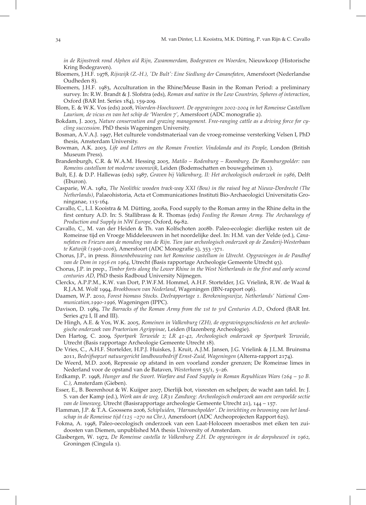in de Rijnstreek rond Alphen a/d Rijn, Zwammerdam, Bodegraven en Woerden, Nieuwkoop (Historische Kring Bodegraven).

- Bloemers, J.H.F. 1978, Rijswijk (Z.-H.), 'De Bult': Eine Siedlung der Cananefaten, Amersfoort (Nederlandse Oudheden 8).
- Bloemers, J.H.F. 1983, Acculturation in the Rhine/Meuse Basin in the Roman Period: a preliminary survey. In: R.W. Brandt & J. Slofstra (eds), Roman and native in the Low Countries, Spheres of interaction, Oxford (BAR Int. Series 184), 159-209.
- Blom, E. & W.K. Vos (eds) 2008, Woerden-Hoochwoert. De opgravingen 2002-2004 in het Romeinse Castellum Laurium, de vicus en van het schip de 'Woerden 7', Amersfoort (ADC monografie 2).
- Bokdam, J. 2003, Nature conservation and grazing management. Free-ranging cattle as a driving force for cycling succession. PhD thesis Wageningen University.
- Bosman, A.V.A.J. 1997, Het culturele vondstmateriaal van de vroeg-romeinse versterking Velsen I, PhD thesis, Amsterdam University.
- Bowman, A.K. 2003, Life and Letters on the Roman Frontier. Vindolanda and its People, London (British Museum Press).
- Brandenburgh, C.R. & W.A.M. Hessing 2005, Matilo Rodenburg Roomburg. De Roomburgpolder: van Romeins castellum tot moderne woonwijk, Leiden (Bodemschatten en bouwgeheimen ).
- Bult, E.J. & D.P. Hallewas (eds) 1987, Graven bij Valkenburg, II: Het archeologisch onderzoek in 1986, Delft (Eburon).
- Casparie, W.A. 1982, The Neolithic wooden track-way XXI (Bou) in the raised bog at Nieuw-Dordrecht (The Netherlands), Palaeohistoria, Acta et Communicationes Instituti Bio-Archaeologici Universitatis Groninganae, 115-164.
- Cavallo, C., L.I. Kooistra & M. Dütting, 2008a, Food supply to the Roman army in the Rhine delta in the first century A.D. In: S. Stallibrass & R. Thomas (eds) Feeding the Roman Army. The Archaeology of Production and Supply in NW Europe, Oxford, 69-82.
- Cavallo, C., M. van der Heiden & Th. van Kolfschoten b. Paleo-ecologie: dierlijke resten uit de Romeinse tijd en Vroege Middeleeuwen in het noordelijke deel. In: H.M. van der Velde (ed.), Cananefaten en Friezen aan de monding van de Rijn. Tien jaar archeologisch onderzoek op de Zanderij-Westerbaan te Katwijk (1996-2006), Amersfoort (ADC Monografie 5), 353 -371.
- Chorus, J.P., in press. Binnenbebouwing van het Romeinse castellum in Utrecht. Opgravingen in de Pandhof van de Dom in 1956 en 1964, Utrecht (Basis rapportage Archeologie Gemeente Utrecht 93).
- Chorus, J.P. in prep., Timber forts along the Lower Rhine in the West Netherlands in the first and early second centuries AD, PhD thesis Radboud University Nijmegen.
- Clerckx, A.P.P.M., K.W. van Dort, P.W.F.M. Hommel, A.H.F. Stortelder, J.G. Vrielink, R.W. de Waal & R.J.A.M. Wolf 1994, Broekbossen van Nederland, Wageningen (IBN-rapport 096).
- Daamen, W.P. 2010, Forest biomass Stocks. Deelrapportage 1. Berekeningswijze, Netherlands' National Com $m$ *unication, 1990-1996*, Wageningen (IPPC).
- Davison, D. 1989, The Barracks of the Roman Army from the 1st to 3rd Centuries A.D., Oxford (BAR Int. Series 472 I, II and III).
- De Hingh, A.E. & Vos, W.K. 2005, Romeinen in Valkenburg (ZH), de opgravingsgeschiedenis en het archeologische onderzoek van Praetorium Agrippinae, Leiden (Hazenberg Archeologie).
- Den Hartog, C. 2009, Sportpark Terweide 2; LR 41-42, Archeologisch onderzoek op Sportpark Terweide, Utrecht (Basis rapportage Archeologie Gemeente Utrecht 18).
- De Vries, C., A.H.F. Stortelder, H.P.J. Huiskes, J. Kruit, A.J.M. Jansen, J.G. Vrielink & J.L.M. Bruinsma 2011, Bedrijfsopzet natuurgericht landbouwbedrijf Ernst-Zuid, Wageningen (Alterra-rapport 2174).
- De Weerd, M.D. 2006, Repressie op afstand in een voorland zonder grenzen; De Romeinse limes in Nederland voor de opstand van de Bataven, Westerheem 55/1, 5-26.
- Erdkamp, P. 1998, Hunger and the Swort. Warfare and Food Supply in Roman Republican Wars ( $264 30 B$ . C.), Amsterdam (Gieben).
- Esser, E., B. Beerenhout & W. Kuijper 2007, Dierlijk bot, visresten en schelpen; de wacht aan tafel. In: J. S. van der Kamp (ed.), Werk aan de weg. LR31 Zandweg: Archeologisch onderzoek aan een verspoelde sectie van de limesweg, Utrecht (Basisrapportage archeologie Gemeente Utrecht 21), 144 - 157.
- Flamman, J.P. & T.A. Goossens 2006, Schipluiden, 'Harnaschpolder'. De inrichting en bewoning van het landschap in de Romeinse tijd (125 -270 na Chr.), Amersfoort (ADC Archeoprojecten Rapport 625).
- Fokma, A. 1998, Paleo-oecologisch onderzoek van een Laat-Holoceen moerasbos met eiken ten zuidoosten van Diemen, unpublished MA thesis University of Amsterdam.
- Glasbergen, W. 1972, De Romeinse castella te Valkenburg Z.H. De opgravingen in de dorpsheuvel in 1962, Groningen (Cingula ).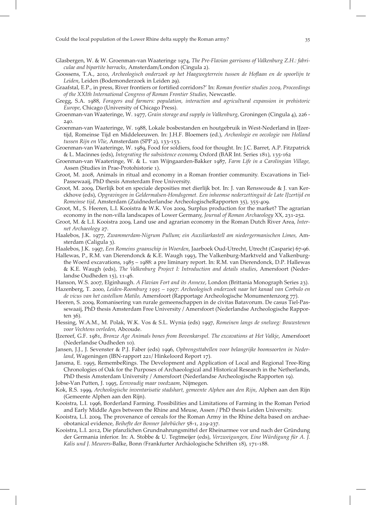- Glasbergen, W. & W. Groenman-van Waateringe 1974, The Pre-Flavian garrisons of Valkenburg Z.H.: fabriculae and bipartite barracks, Amsterdam/London (Cingula ).
- Goossens, T.A., 2010, Archeologisch onderzoek op het Haagwegterrein tussen de Hoflaan en de spoorlijn te Leiden, Leiden (Bodemonderzoek in Leiden 29).
- Graafstal, E.P., in press, River frontiers or fortified corridors?' In: Roman frontier studies 2009, Proceedings of the XXIth International Congress of Roman Frontier Studies, Newcastle.
- Gregg, S.A. 1988, Foragers and farmers: population, interaction and agricultural expansion in prehistoric Europe, Chicago (University of Chicago Press).
- Groenman-van Waateringe, W. 1977, Grain storage and supply in Valkenburg, Groningen (Cingula 4), 226 -240.
- Groenman-van Waateringe, W. 1988, Lokale bosbestanden en houtgebruik in West-Nederland in IJzertijd, Romeinse Tijd en Middeleeuwen. In: J.H.F. Bloemers (ed.), Archeologie en oecologie van Holland tussen Rijn en Vlie, Amsterdam (SPP 2), 133-153.
- Groenman-van Waateringe, W. 1989, Food for soldiers, food for thought. In: J.C. Barret, A.P. Fitzpatrick & L. Macinnes (eds), Integrating the subsistence economy, Oxford (BAR Int. Series 181), 135-162
- Groenman-van Waateringe, W. & L. van Wijngaarden-Bakker 1987, Farm Life in a Carolingian Village, Assen (Studies in Prae-Protohistorie ).
- Groot, M. 2008, Animals in ritual and economy in a Roman frontier community. Excavations in Tiel-Passewaaij, PhD thesis Amsterdam Free University.
- Groot, M. 2009, Dierlijk bot en speciale deposities met dierlijk bot. In: J. van Renswoude & J. van Kerckhove (eds), Opgravingen in Geldermalsen-Hondsgemet. Een inheemse nederzettinguit de Late IJzertijd en Romeinse tijd, Amsterdam (Zuidnederlandse ArcheologischeRapporten 35), 355-409.
- Groot, M., S. Heeren, L.I. Kooistra & W.K. Vos 2009, Surplus production for the market? The agrarian economy in the non-villa landscapes of Lower Germany, Journal of Roman Archaeology XX, 231-252.
- Groot, M. & L.I. Kooistra 2009, Land use and agrarian economy in the Roman Dutch River Area, Internet Archaeology 27.
- Haalebos, J.K. 1977, Zwammerdam-Nigrum Pullum; ein Auxiliarkastell am niedergermanischen Limes, Amsterdam (Caligula 3).
- Haalebos, J.K. 1997, Een Romeins graanschip in Woerden, Jaarboek Oud-Utrecht, Utrecht (Casparie) 67-96. Hallewas, P., R.M. van Dierendonck & K.E. Waugh 1993, The Valkenburg-Marktveld and Valkenburg-
- the Woerd excavations, 1985 1988: a pre liminary report. In: R.M. van Dierendonck, D.P. Hallewas & K.E. Waugh (eds), The Valkenburg Project I: Introduction and details studies, Amersfoort (Nederlandse Oudheden  $15$ ,  $11-46$ .
- Hanson, W.S. 2007, Elginhaugh. A Flavian Fort and its Annexe, London (Brittania Monograph Series 23).
- Hazenberg, T. 2000, Leiden-Roomburg 1995 1997: Archeologisch onderzoek naar het kanaal van Corbulo en de vicus van het castellum Matilo, Amersfoort (Rapportage Archeologische Monumentenzorg 77).
- Heeren, S. 2009, Romanisering van rurale gemeenschappen in de civitas Batavorum. De casus Tiel-Passewaaij, PhD thesis Amsterdam Free University / Amersfoort (Nederlandse Archeologische Rappor $ten$   $36$ ).
- Hessing, W.A.M., M. Polak, W.K. Vos & S.L. Wynia (eds) 1997, Romeinen langs de snelweg: Bouwstenen voor Vechtens verleden, Abcoude.
- IJzereef, G.F. 1981, Bronze Age Animals bones from Bovenkarspel. The excavations at Het Valkje, Amersfoort (Nederlandse Oudheden 10).
- Jansen, J.J., J. Sevenster & P.J. Faber (eds) 1996, Opbrengsttabellen voor belangrijke boomsoorten in Nederland, Wageningen (IBN-rapport 221/ Hinkeloord Report 17).
- Jansma, E. 1995, RemembeRings. The Development and Application of Local and Regional Tree-Ring Chronologies of Oak for the Purposes of Archaeological and Historical Research in the Netherlands, PhD thesis Amsterdam University / Amersfoort (Nederlandse Archeologische Rapporten 19).
- Jobse-Van Putten, J. 1995, Eenvoudig maar voedzaam, Nijmegen.
- Kok, R.S. 1999, Archeologische inventarisatie stadshart, gemeente Alphen aan den Rijn, Alphen aan den Rijn (Gemeente Alphen aan den Rijn).
- Kooistra, L.I. 1996, Borderland Farming. Possibilities and Limitations of Farming in the Roman Period and Early Middle Ages between the Rhine and Meuse, Assen / PhD thesis Leiden University.
- Kooistra, L.I. 2009, The provenance of cereals for the Roman Army in the Rhine delta based on archaeobotanical evidence, Beihefte der Bonner Jahrbücher 58-1, 219-237.
- Kooistra, L.I. 2012, Die pfanzlichen Grundnahrungsmittel der Rheinarmee vor und nach der Gründung der Germania inferior. In: A. Stobbe & U. Tegtmeijer (eds), Verzweigungen, Eine Würdigung für A. J. Kalis und J. Meurers-Balke, Bonn (Frankfurter Archäologische Schriften 18), 171-188.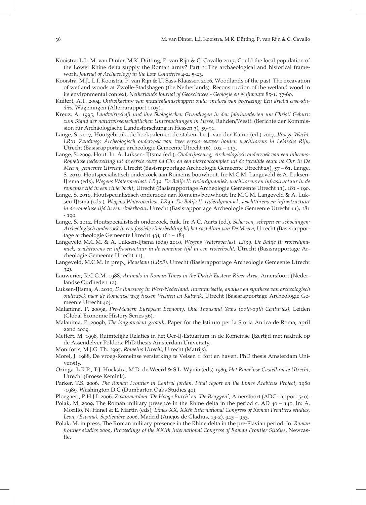- Kooistra, L.I., M. van Dinter, M.K. Dütting, P. van Rijn & C. Cavallo 2013, Could the local population of the Lower Rhine delta supply the Roman army? Part 1: The archaeological and historical framework, Journal of Archaeology in the Low Countries 4-2, 5-23.
- Kooistra, M.J., L.I. Kooistra, P. van Rijn & U. Sass-Klaassen 2006, Woodlands of the past. The excavation of wetland woods at Zwolle-Stadshagen (the Netherlands): Reconstruction of the wetland wood in its environmental context, Netherlands Journal of Geosciences - Geologie en Mijnbouw 85-1, 37-60.
- Kuitert, A.T. 2004, Ontwikkeling van mozaïeklandschappen onder invloed van begrazing; Een drietal case-studies, Wageningen (Alterrarapport 1105).
- Kreuz, A. 1995, Landwirtschaft und ihre ökologischen Grundlagen in den Jahrhunderten um Christi Geburt: zum Stand der naturwissenschaftlichen Untersuchungen in Hesse, Rahden/Westf. (Berichte der Kommission für Archäologische Landesforschung in Hessen 3), 59-91.
- Lange, S. 2007, Houtgebruik, de hoekpalen en de staken. In: J. van der Kamp (ed.) 2007, Vroege Wacht. LR Zandweg: Archeologisch onderzoek van twee eerste eeuwse houten wachttorens in Leidsche Rijn, Utrecht (Basisrapportage archeologie Gemeente Utrecht  $16$ ),  $102 - 113$ .
- Lange, S. 2009, Hout. In: A. Luksen- IJtsma (ed.), Ouderijnseweg; Archeologisch onderzoek van een inheems-Romeinse nederzetting uit de eerste eeuw na Chr. en een vlasrootcomplex uit de twaalfde eeuw na Chr. in De Meern, gemeente Utrecht, Utrecht (Basisrapportage Archeologie Gemeente Utrecht 25), 57 - 61. Lange, S. 2010, Houtspecialistisch onderzoek aan Romeins bouwhout. In: M.C.M. Langeveld & A. Luksen-IJtsma (eds), Wegens Wateroverlast. LR39. De Balije II: rivierdynamiek, wachttorens en infrastructuur in de romeinse tijd in een rivierbocht, Utrecht (Basisrapportage Archeologie Gemeente Utrecht 11), 181 - 190.
- Lange, S. 2010, Houtspecialistisch onderzoek aan Romeins bouwhout. In: M.C.M. Langeveld & A. Luksen-IJtsma (eds.), Wegens Wateroverlast. LR39. De Balije II: rivierdynamiek, wachttorens en infrastructuur in de romeinse tijd in een rivierbocht, Utrecht (Basisrapportage Archeologie Gemeente Utrecht 11), 181  $-190.$
- Lange, S. 2012, Houtspecialistisch onderzoek, fuik. In: A.C. Aarts (ed.), Scherven, schepen en schoeiingen; Archeologisch onderzoek in een fossiele rivierbedding bij het castellum van De Meern, Utrecht (Basisrapportage archeologie Gemeente Utrecht  $43$ ),  $161 - 184$ .
- Langeveld M.C.M. & A. Luksen-IJtsma (eds) 2010, Wegens Wateroverlast. LR39. De Balije II: rivierdynamiek, wachttorens en infrastructuur in de romeinse tijd in een rivierbocht, Utrecht (Basisrapportage Archeologie Gemeente Utrecht 11).
- Langeveld, M.C.M. in prep., Vicuslaan (LR58), Utrecht (Basisrapportage Archeologie Gemeente Utrecht  $32)$ .
- Lauwerier, R.C.G.M. 1988, Animals in Roman Times in the Dutch Eastern River Area, Amersfoort (Nederlandse Oudheden 12).
- Luksen-IJtsma, A. 2010, De limesweg in West-Nederland. Inventarisatie, analyse en synthese van archeologisch onderzoek naar de Romeinse weg tussen Vechten en Katwijk, Utrecht (Basisrapportage Archeologie Gemeente Utrecht 40).
- Malanima, P. 2009a, Pre-Modern European Economy. One Thousand Years (10th-19th Centuries), Leiden (Global Economic History Series 56).
- Malanima, P. 2009b, The long ancient growth, Paper for the Istituto per la Storia Antica de Roma, april 22nd 2009.
- Meffert, M. 1998, Ruimtelijke Relaties in het Oer-IJ-Estuarium in de Romeinse IJzertijd met nadruk op de Assendelver Polders. PhD thesis Amsterdam University.
- Montforts, M.J.G. Th. 1995, Romeins Utrecht, Utrecht (Matrijs).
- Morel, J. 1988, De vroeg-Romeinse versterking te Velsen 1: fort en haven. PhD thesis Amsterdam University.
- Ozinga, L.R.P., T.J. Hoekstra, M.D. de Weerd & S.L. Wynia (eds) 1989, Het Romeinse Castellum te Utrecht, Utrecht (Broese Kemink).
- Parker, T.S. 2006, The Roman Frontier in Central Jordan. Final report on the Limes Arabicus Project, 1980 -1989, Washington D.C (Dumbarton Oaks Studies 40).
- Ploegaert, P.H.J.I. 2006, Zwammerdam 'De Hooge Burch' en 'De Bruggen', Amersfoort (ADC-rapport 540).
- Polak, M. 2009, The Roman military presence in the Rhine delta in the period c. AD  $40 140$ . In: A. Morillo, N. Hanel & E. Martín (eds), Limes XX, XXth International Congress of Roman Frontiers studies, Leon, (España), Septiembre 2006, Madrid (Anejos de Gladius, 13-2), 945 - 953.
- Polak, M. in press, The Roman military presence in the Rhine delta in the pre-Flavian period. In: Roman frontier studies 2009, Proceedings of the XXIth International Congress of Roman Frontier Studies, Newcastle.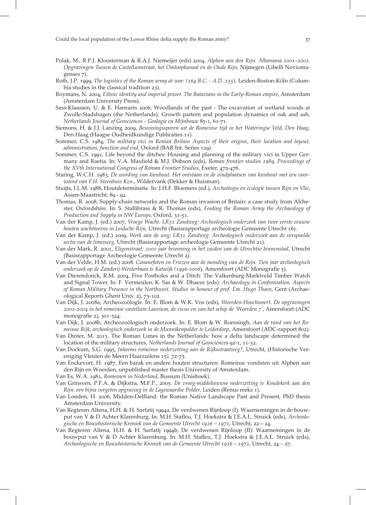- Polak, M., R.P.J. Kloosterman & R.A.J. Niemeijer (eds) 2004, Alphen aan den Rijn. Albaniana 2001–2002. Opgravingen Tussen de Castellumstraat, het Omloopkanaal en de Oude Rijn, Nijmegen (Libelli Noviomagenses 7).
- Roth, J.P. 1999, The logistics of the Roman army at war: (264 B.C. A.D. 235), Leiden-Boston-Köln (Columbia studies in the classical tradition 23).
- Roymans, N. 2004, Ethnic identity and imperial power. The Batavians in the Early-Roman empire, Amsterdam (Amsterdam University Press).
- Sass-Klaassen, U. & E. Hanraets 2006, Woodlands of the past The excavation of wetland woods at Zwolle-Stadshagen (the Netherlands): Growth pattern and population dynamics of oak and ash, Netherlands Journal of Geosciences - Geologie en Mijnbouw 85-1, 61-71.
- Siemons, H. & J.J. Lanzing 2009, Bewoningssporen uit de Romeinse tijd in het Wateringse Veld, Den Haag, Den Haag (Haagse Oudheidkundige Publicaties 11).
- Sommer, C.S. 1984, The military vici in Roman Britain Aspects of their origins, their location and layout, administration, function and end, Oxford (BAR Int. Series 129).
- Sommer, C.S. 1991, Life beyond the ditches: Housing and planning of the military vici in Upper Germany and Raetia. In: V.A. Maxfield & M.J. Dobson (eds), Roman frontier studies 1989, Proceedings of the XVth International Congress of Roman Frontier Studies, Exeter, 472-476.
- Staring, W.C.H. 1983, De wording van kienhout. Het ontstaan en de vindplaatsen van kienhout met een voorwoord van F.H. Steenhuis Kzn., Wildervank (Dekker & Huisman).
- Stuijts, I.L.M. 1988, Houtdeterminatie. In: J.H.F. Bloemers (ed.), Archeologie en ecologie tussen Rijn en Vlie, Assen-Maastricht, 89 - 92.
- Thomas, R. 2008, Supply-chain networks and the Roman invasion of Britain: a case study from Alchester, Oxfordshire. In: S. Stallibrass & R. Thomas (eds), Feeding the Roman Army the Archaeology of Production and Supply in NW Europe, Oxford, 31-51.
- Van der Kamp, J. (ed.) 2007, Vroege Wacht. LR31 Zandweg: Archeologisch onderzoek van twee eerste eeuwse houten wachttorens in Leidsche Rijn, Utrecht (Basisrapportage archeologie Gemeente Utrecht 16).
- Van der Kamp, J. (ed.) 2009, Werk aan de weg; LR31 Zandweg: Archeologisch onderzoek aan de verspoelde sectie van de limesweg, Utrecht (Basisrapportage archeologie Gemeente Utrecht 21).
- Van der Mark, R. 2001, Eligenstraat; 2000 jaar bewoning in het zuiden van de Utrechtse binnenstad, Utrecht (Basisrapportage Archeologie Gemeente Utrecht ).
- Van der Velde, H.M. (ed.) 2008. Cananefaten en Friezen aan de monding van de Rijn. Tien jaar archeologisch onderzoek op de Zanderij-Westerbaan te Katwijk (1996-2006), Amersfoort (ADC Monografie 5).
- Van Dierendonck, R.M. 2004, Five Postholes and a Ditch: The Valkenburg-Marktveld Timber Watch and Signal Tower. In: F. Vermeulen, K. Sas & W. Dhaeze (eds): Archaeology in Confrontation. Aspects of Roman Military Presence in the Northwest. Studies in honour of prof. Em. Hugo Thoen, Gent (Archaeological Reports Ghent Univ. 2), 73-102.
- Van Dijk, J. 2008a, Archeozoölogie. In: E. Blom & W.K. Vos (eds), Woerden-Hoochwoert. De opgravingen 2002-2004 in het romeinse castellum Laurium, de vicus en van het schip de 'Woerden 7', Amersfoort (ADC monografie 2), 301-324.
- Van Dijk, J. 2008b, Archeozoölogisch onderzoek. In: E. Blom & W. Roessingh, Aan de rand van het Romeinse Rijk, archeologisch onderzoek in de Munnikenpolder te Leiderdorp, Amersfoort (ADC-rapport 802).
- Van Dinter, M. 2013. The Roman Limes in the Netherlands: how a delta landscape determined the location of the military structures, Netherlands Journal of Geosciences 92-1, 11-32.
- Van Dockum, S.G. 1995, Inheems romeinse nederzetting aan de Rijksstraatweg?, Utrecht, (Historische Vereniging Vleuten de Meern Haarzuilens 15), 72-73.
- Van Enckevort, H. 1987, Een barak en andere houten structuren: Romeinse vondsten uit Alphen aan den Rijn en Woerden, unpublished master thesis University of Amsterdam.
- Van Es, W.A. 1981, Romeinen in Nederland, Bussum (Unieboek).
- Van Grinsven, P.F.A. & Dijkstra, M.F.P., 2005. De vroeg-middeleeuwse nederzetting te Koudekerk aan den Rijn: een bijna vergeten opgraving in de Lagewaardse Polder, Leiden (Renus reeks ).
- Van Londen, H. 2006, Midden-Delfland: the Roman Native Landscape Past and Present, PhD thesis Amsterdam University.
- Van Regteren Altena, H.H. & H. Sarfatij 1994a, De verdwenen Rijnloop (I): Waarnemingen in de bouwput van V & D Achter Klarenburg. In: M.H. Stafleu, T.J. Hoekstra & J.E.A.L. Struick (eds), Archeologische en Bouwhistorische Kroniek van de Gemeente Utrecht  $1926 - 1972$ , Utrecht,  $22 - 24$ .
- Van Regteren Altena, H.H. & H. Sarfatij 1994b, De verdwenen Rijnloop (II): Waarnemingen in de bouwput van V & D Achter Klarenburg. In: M.H. Stafleu, T.J. Hoekstra & J.E.A.L. Struick (eds), Archeologische en Bouwhistorische Kroniek van de Gemeente Utrecht  $1926 - 1972$ , Utrecht,  $24 - 27$ .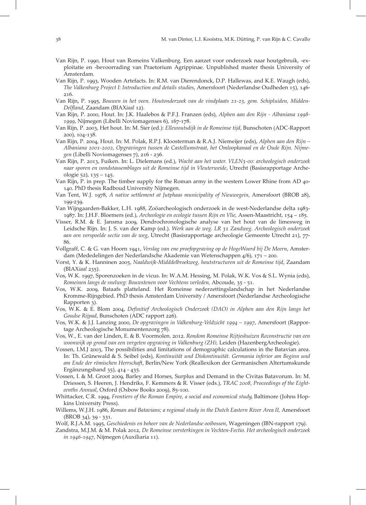- Van Rijn, P. 1990, Hout van Romeins Valkenburg. Een aanzet voor onderzoek naar houtgebruik, -exploitatie en -bevoorrading van Praetorium Agrippinae. Unpublished master thesis University of Amsterdam.
- Van Rijn, P. 1993, Wooden Artefacts. In: R.M. van Dierendonck, D.P. Hallewas, and K.E. Waugh (eds), The Valkenburg Project I: Introduction and details studies, Amersfoort (Nederlandse Oudheden 15), 146-216.
- Van Rijn, P. 1995, Bouwen in het veen. Houtonderzoek van de vindplaats 21-23, gem. Schipluiden, Midden-Delfland, Zaandam (BIAXiaal 12).
- Van Rijn, P. 2000, Hout. In: J.K. Haalebos & P.F.J. Franzen (eds), Alphen aan den Rijn Albaniana 1998- $1999$ , Nijmegen (Libelli Noviomagenses 6),  $167-178$ .
- Van Rijn, P. 2003, Het hout. In: M. Sier (ed.): *Ellewoutsdijk in de Romeinse tijd*, Bunschoten (ADC-Rapport 200), 104-138.
- Van Rijn, P. 2004, Hout. In: M. Polak, R.P.J. Kloosterman & R.A.J. Niemeijer (eds), Alphen aan den Rijn Albaniana 2001-2002, Opgravingen tussen de Castellumstraat, het Omloopkanaal en de Oude Rijn. Nijmegen (Libelli Noviomagenses 7), 216 - 236.
- Van Rijn, P. 2013, Fuiken. In: L. Dielemans (ed.), Wacht aan het water. VLEN3-00: archeologisch onderzoek naar sporen en vondstassemblages uit de Romeinse tijd in Vleuterweide, Utrecht (Basisrapportage Archeologie  $52$ ,  $135 - 145$ .
- Van Rijn, P. in prep. The timber supply for the Roman army in the western Lower Rhine from AD . PhD thesis Radboud University Nijmegen.
- Van Tent, W.J. 1978, A native settlement at Jutphaas municipality of Nieuwegein, Amersfoort (BROB 28), 199-239.
- Van Wijngaarden-Bakker, L.H. 1988, Zoöarcheologisch onderzoek in de west-Nederlandse delta 1983-1987. In: J.H.F. Bloemers (ed.), Archeologie en ecologie tussen Rijn en Vlie, Assen-Maastricht, 154 – 185.
- Visser, R.M. & E. Jansma 2009, Dendrochronologische analyse van het hout van de limesweg in Leidsche Rijn. In: J. S. van der Kamp (ed.). Werk aan de weg. LR 31 Zandweg. Archeologisch onderzoek aan een verspoelde sectie van de weg, Utrecht (Basisrapportage archeologie Gemeente Utrecht 21), 77-86.
- Vollgraff, C. & G. van Hoorn 1941, Verslag van ene proefopgraving op de HogeWoerd bij De Meern, Amsterdam (Mededelingen der Nederlandsche Akademie van Wetenschappen  $\frac{4}{6}$ , 171 – 200.
- Vorst, Y. & K. Hanninen 2005, Naaldwijk-Midddelbroekweg, houtstructuren uit de Romeinse tijd, Zaandam  $(BIAXiaal 235).$
- Vos, W.K. 1997, Sporenzoeken in de vicus. In: W.A.M. Hessing, M. Polak, W.K. Vos & S.L. Wynia (eds), Romeinen langs de snelweg: Bouwstenen voor Vechtens verleden, Abcoude, 35 - 51.
- Vos, W.K. 2009, Bataafs platteland. Het Romeinse nederzettingslandschap in het Nederlandse Kromme-Rijngebied. PhD thesis Amsterdam University / Amersfoort (Nederlandse Archeologische Rapporten 3).
- Vos, W.K. & E. Blom 2004, Definitief Archeologisch Onderzoek (DAO) in Alphen aan den Rijn langs het Goudse Rijpad, Bunschoten (ADC rapport 226).
- Vos, W.K. & J.J. Lanzing 2000, De opgravingen in Valkenburg-Veldzicht 1994 1997, Amersfoort (Rapportage Archeologische Monumentenzorg 78).
- Vos, W., E. van der Linden, E. & B. Voormolen. 2012. Rondom Romeinse Rijtjeshuizen Reconstructie van een woonwijk op grond van een vergeten opgraving in Valkenburg (ZH), Leiden (HazenbergArcheologie).
- Vossen, I.M.J 2003, The possibilities and limitations of demographic calculations in the Batavian area. In: Th. Grünewald & S. Seibel (eds), Kontinuität und Diskontinuität. Germania inferior am Beginn und am Ende der römischen Herrschaft, Berlin/New York (Reallexikon der Germanischen Altertumskunde Ergänzungsband  $35$ ),  $414 - 435$ .
- Vossen, I. & M. Groot 2009, Barley and Horses, Surplus and Demand in the Civitas Batavorum. In: M. Driessen, S. Heeren, J. Hendriks, F. Kemmers & R. Visser (eds.), TRAC 2008, Proceedings of the Eighteenths Annual, Oxford (Oxbow Books 2009), 85-100.
- Whittacker, C.R. 1994, Frontiers of the Roman Empire, a social and economical study, Baltimore (Johns Hopkins University Press).
- Willems, W.J.H. 1986, Roman and Batavians; a regional study in the Dutch Eastern River Area II, Amersfoort (BROB 34), 39 - 331.
- Wolf, R.J.A.M. 1995, Geschiedenis en beheer van de Nederlandse ooibossen, Wageningen (IBN-rapport 179).
- Zandstra, M.J.M. & M. Polak 2012, De Romeinse versterkingen in Vechten-Fectio. Het archeologisch onderzoek in 1946-1947, Nijmegen (Auxiliaria 11).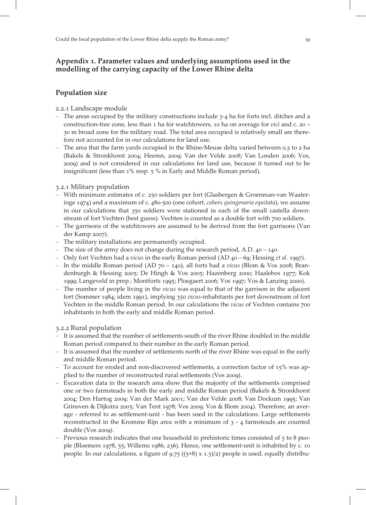# Appendix 1. Parameter values and underlying assumptions used in the modelling of the carrying capacity of the Lower Rhine delta

# Population size

# 2.2.1 Landscape module

- The areas occupied by the military constructions include  $3-4$  ha for forts incl. ditches and a construction-free zone, less than  $1$  ha for watchtowers,  $10$  ha on average for *vici* and  $c$ .  $20$  m broad zone for the military road. The total area occupied is relatively small are therefore not accounted for in our calculations for land use.
- The area that the farm yards occupied in the Rhine-Meuse delta varied between  $0.5$  to  $2$  ha (Bakels & Stronkhorst 2004; Heeren, 2009; Van der Velde 2008; Van Londen 2006; Vos, ) and is not considered in our calculations for land use, because it turned out to be insignificant (less than  $1\%$  resp.  $5\%$  in Early and Middle Roman period).

# 3.2.1 Military population

- With minimum estimates of c. 250 soldiers per fort (Glasbergen & Groenman-van Waateringe  $1974$ ) and a maximum of c.  $480$ -500 (one cohort, cohors quingenaria equitata), we assume in our calculations that  $350$  soldiers were stationed in each of the small castella downstream of fort Vechten (best guess). Vechten is counted as a double fort with 700 soldiers.
- The garrisons of the watchtowers are assumed to be derived from the fort garrisons (Van der Kamp 2007).
- The military installations are permanently occupied.
- The size of the army does not change during the research period, A.D.  $40 140$ .
- Only fort Vechten had a *vicus* in the early Roman period  $(AD\ 40 69)$ ; Hessing *et al.* 1997).
- In the middle Roman period (AD  $70 140$ ), all forts had a vicus (Blom & Vos 2008; Brandenburgh & Hessing 2005; De Hingh & Vos 2005; Hazenberg 2000; Haalebos 1977; Kok 1999; Langeveld in prep.; Montforts 1995; Ploegaert 2006; Vos 1997; Vos & Lanzing 2000).
- The number of people living in the vicus was equal to that of the garrison in the adjacent fort (Sommer 1984; idem 1991), implying 350 vicus-inhabitants per fort downstream of fort Vechten in the middle Roman period. In our calculations the vicus of Vechten contains 700 inhabitants in both the early and middle Roman period.

# 3.2.2 Rural population

- It is assumed that the number of settlements south of the river Rhine doubled in the middle Roman period compared to their number in the early Roman period.
- It is assumed that the number of settlements north of the river Rhine was equal in the early and middle Roman period.
- To account for eroded and non-discovered settlements, a correction factor of  $15\%$  was applied to the number of reconstructed rural settlements (Vos 2009).
- Excavation data in the research area show that the majority of the settlements comprised one or two farmsteads in both the early and middle Roman period (Bakels & Stronkhorst 2004; Den Hartog 2009; Van der Mark 2001; Van der Velde 2008; Van Dockum 1995; Van Grinsven & Dijkstra 2005; Van Tent 1978; Vos 2009; Vos & Blom 2004). Therefore, an average - referred to as settlement-unit - has been used in the calculations. Large settlements reconstructed in the Kromme Rijn area with a minimum of  $3 - 4$  farmsteads are counted  $double$  (Vos 2009).
- Previous research indicates that one household in prehistoric times consisted of  $5$  to 8 people (Bloemers 1978, 55; Willems 1986, 236). Hence, one settlement-unit is inhabited by c. 10 people. In our calculations, a figure of  $9.75$  ( $(5+8) \times 1.5$ )/2) people is used, equally distribu-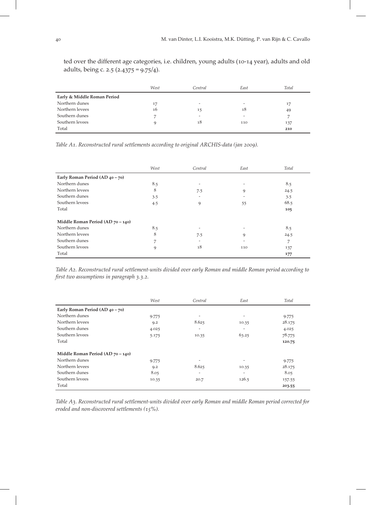ted over the different age categories, i.e. children, young adults (10-14 year), adults and old adults, being c. 2.5 (2.4375 =  $9.75/4$ ).

|                             | West | Central | East | Total |
|-----------------------------|------|---------|------|-------|
| Early & Middle Roman Period |      |         |      |       |
| Northern dunes              | 17   | -       | -    | 17    |
| Northern levees             | 16   | 15      | 18   | 49    |
| Southern dunes              |      | -       | -    |       |
| Southern levees             |      | 18      | 110  | 137   |
| Total                       |      |         |      | 210   |

Table A1. Reconstructed rural settlements according to original ARCHIS-data (jan 2009).

|                                   | West | Central | East                     | Total |
|-----------------------------------|------|---------|--------------------------|-------|
| Early Roman Period (AD 40 - 70)   |      |         |                          |       |
| Northern dunes                    | 8.5  | -       |                          | 8.5   |
| Northern levees                   | 8    | 7.5     | 9                        | 24.5  |
| Southern dunes                    | 3.5  | ۰       | $\overline{\phantom{a}}$ | 3.5   |
| Southern levees                   | 4.5  | 9       | 55                       | 68.5  |
| Total                             |      |         |                          | 105   |
| Middle Roman Period (AD 70 - 140) |      |         |                          |       |
| Northern dunes                    | 8.5  |         |                          | 8.5   |
| Northern levees                   | 8    | 7.5     | 9                        | 24.5  |
| Southern dunes                    | ⇁    |         |                          | 7     |
| Southern levees                   | 9    | 18      | 110                      | 137   |
| Total                             |      |         |                          | 177   |

Table A2. Reconstructed rural settlement-units divided over early Roman and middle Roman period according to first two assumptions in paragraph 3.3.2.

|                                    | West  | Central                  | East                     | Total  |
|------------------------------------|-------|--------------------------|--------------------------|--------|
| Early Roman Period (AD $40 - 70$ ) |       |                          |                          |        |
| Northern dunes                     | 9.775 | ۰                        | $\overline{\phantom{0}}$ | 9.775  |
| Northern levees                    | 9.2   | 8.625                    | 10.35                    | 28.175 |
| Southern dunes                     | 4.025 | ۰                        | $\overline{\phantom{0}}$ | 4.025  |
| Southern levees                    | 5.175 | 10.35                    | 63.25                    | 78.775 |
| Total                              |       |                          |                          | 120.75 |
| Middle Roman Period (AD 70 - 140)  |       |                          |                          |        |
| Northern dunes                     | 9.775 | $\overline{\phantom{0}}$ |                          | 9.775  |
| Northern levees                    | 9.2   | 8.625                    | 10.35                    | 28.175 |
| Southern dunes                     | 8.05  | ۰                        | $\overline{\phantom{0}}$ | 8.05   |
| Southern levees                    | 10.35 | 20.7                     | 126.5                    | 157.55 |
| Total                              |       |                          |                          | 203.55 |

Table A3. Reconstructed rural settlement-units divided over early Roman and middle Roman period corrected for eroded and non-discovered settlements  $(15\%).$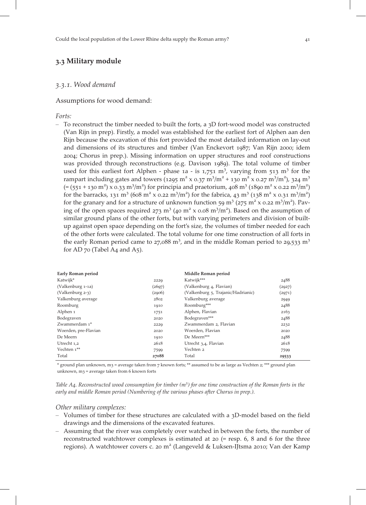# 3.3 Military module

#### 3.3.1. Wood demand

#### Assumptions for wood demand:

Forts:

– To reconstruct the timber needed to built the forts, a  $3D$  fort-wood model was constructed (Van Rijn in prep). Firstly, a model was established for the earliest fort of Alphen aan den Rijn because the excavation of this fort provided the most detailed information on lay-out and dimensions of its structures and timber (Van Enckevort 1987; Van Rijn 2000; idem ; Chorus in prep.). Missing information on upper structures and roof constructions was provided through reconstructions (e.g. Davison 1989). The total volume of timber used for this earliest fort Alphen - phase  $1a - is 1,751$  m<sup>3</sup>, varying from  $513$  m<sup>3</sup> for the rampart including gates and towers (1295 m<sup>2</sup> x 0.37 m<sup>3</sup>/m<sup>2</sup> + 130 m<sup>2</sup> x 0.27 m<sup>3</sup>/m<sup>2</sup>), 324 m<sup>3</sup>  $(=(551 + 130 \text{ m}^2) \times 0.33 \text{ m}^3/\text{m}^2)$  for principia and praetorium, 408 m<sup>3</sup> (1890 m<sup>2</sup> x 0.22 m<sup>3</sup>/m<sup>2</sup>) for the barracks, 131 m<sup>3</sup> (608 m<sup>2</sup> x 0.22 m<sup>3</sup>/m<sup>2</sup>) for the fabrica, 43 m<sup>3</sup> (138 m<sup>2</sup> x 0.31 m<sup>3</sup>/m<sup>2</sup>) for the granary and for a structure of unknown function 59 m<sup>3</sup> (275 m<sup>2</sup> x 0.22 m<sup>3</sup>/m<sup>2</sup>). Paving of the open spaces required  $273 \text{ m}^3$  (40 m<sup>2</sup> x 0.08 m<sup>3</sup>/m<sup>2</sup>). Based on the assumption of similar ground plans of the other forts, but with varying perimeters and division of builtup against open space depending on the fort's size, the volumes of timber needed for each of the other forts were calculated. The total volume for one time construction of all forts in the early Roman period came to  $27,088$  m<sup>3</sup>, and in the middle Roman period to  $29,533$  m<sup>3</sup> for AD  $70$  (Tabel A4 and A5).

| Early Roman period   |        | Middle Roman period                |        |
|----------------------|--------|------------------------------------|--------|
| Katwijk*             | 2229   | Katwijk***                         | 2488   |
| (Valkenburg 1-1a)    | (2697) | (Valkenburg 4, Flavian)            | (2927) |
| (Valkenburg 2-3)     | (2906) | (Valkenburg 5, Trajanic/Hadrianic) | (2971) |
| Valkenburg average   | 2802   | Valkenburg average                 | 2949   |
| Roomburg             | 1910   | Roomburg***                        | 2488   |
| Alphen 1             | 1751   | Alphen, Flavian                    | 2163   |
| Bodegraven           | 2020   | Bodegraven***                      | 2488   |
| Zwammerdam 1*        | 2229   | Zwammerdam 2, Flavian              | 2232   |
| Woerden, pre-Flavian | 2020   | Woerden, Flavian                   | 2020   |
| De Meern             | 1910   | De Meern***                        | 2488   |
| Utrecht 1,2          | 2618   | Utrecht 3,4, Flavian               | 2618   |
| Vechten 1**          | 7599   | Vechten 2                          | 7599   |
| Total                | 27088  | Total                              | 29533  |

\* ground plan unknown, m3 = average taken from  $7$  known forts; \*\* assumed to be as large as Vechten  $2$ ; \*\*\* ground plan unknown,  $m_3$  = average taken from 6 known forts

Table A4. Reconstructed wood consumption for timber  $(m^3)$  for one time construction of the Roman forts in the early and middle Roman period (Numbering of the various phases after Chorus in prep.).

#### Other military complexes:

- Volumes of timber for these structures are calculated with a 3D-model based on the field drawings and the dimensions of the excavated features.
- Assuming that the river was completely over watched in between the forts, the number of reconstructed watchtower complexes is estimated at  $20$  (= resp. 6, 8 and 6 for the three regions). A watchtower covers c. 20 m<sup>2</sup> (Langeveld & Luksen-IJtsma 2010; Van der Kamp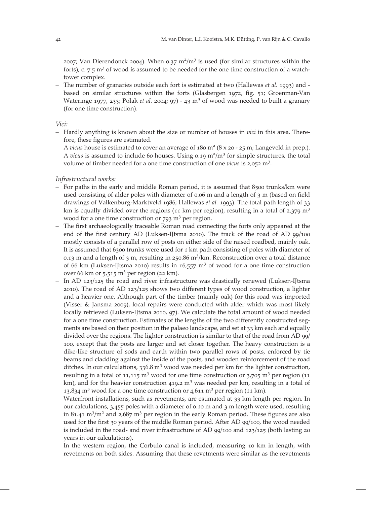2007; Van Dierendonck 2004). When  $0.37 \text{ m}^2/\text{m}^3$  is used (for similar structures within the forts), c.  $7.5 \text{ m}^3$  of wood is assumed to be needed for the one time construction of a watchtower complex.

– The number of granaries outside each fort is estimated at two (Hallewas et al. 1993) and based on similar structures within the forts (Glasbergen 1972, fig. 51; Groenman-Van Wateringe 1977, 233; Polak *et al.* 2004; 97) - 43  $m<sup>3</sup>$  of wood was needed to built a granary (for one time construction).

Vici:

- Hardly anything is known about the size or number of houses in vici in this area. Therefore, these figures are estimated.
- A vicus house is estimated to cover an average of  $180 \text{ m}^2 (8 \times 20 25 \text{ m})$ ; Langeveld in prep.).
- A vicus is assumed to include 60 houses. Using 0.19  $m^2/m^3$  for simple structures, the total volume of timber needed for a one time construction of one vicus is  $2,052$  m<sup>3</sup>.

#### Infrastructural works:

- $-$  For paths in the early and middle Roman period, it is assumed that  $8500$  trunks/km were used consisting of alder poles with diameter of 0.06 m and a length of 3 m (based on field drawings of Valkenburg-Marktveld 1986; Hallewas et al. 1993). The total path length of 33 km is equally divided over the regions (11 km per region), resulting in a total of  $2,379$  m<sup>3</sup> wood for a one time construction or  $793 \text{ m}^3$  per region.
- The first archaeologically traceable Roman road connecting the forts only appeared at the end of the first century AD (Luksen-IJtsma 2010). The track of the road of AD 99/100 mostly consists of a parallel row of posts on either side of the raised roadbed, mainly oak. It is assumed that  $6300$  trunks were used for  $1 \text{ km}$  path consisting of poles with diameter of 0.13 m and a length of 3 m, resulting in 250.86 m<sup>3</sup>/km. Reconstruction over a total distance of 66 km (Luksen-IJtsma 2010) results in  $16,557$  m<sup>3</sup> of wood for a one time construction over 66 km or  $5.515$  m<sup>3</sup> per region (22 km).
- In AD  $123/125$  the road and river infrastructure was drastically renewed (Luksen-IJtsma 2010). The road of AD  $123/125$  shows two different types of wood construction, a lighter and a heavier one. Although part of the timber (mainly oak) for this road was imported (Visser & Jansma 2009), local repairs were conducted with alder which was most likely locally retrieved (Luksen-IJtsma 2010, 97). We calculate the total amount of wood needed for a one time construction. Estimates of the lengths of the two differently constructed segments are based on their position in the palaeo landscape, and set at 33 km each and equally divided over the regions. The lighter construction is similar to that of the road from AD 99/ , except that the posts are larger and set closer together. The heavy construction is a dike-like structure of sods and earth within two parallel rows of posts, enforced by tie beams and cladding against the inside of the posts, and wooden reinforcement of the road ditches. In our calculations, 336.8  $m<sup>3</sup>$  wood was needed per km for the lighter construction, resulting in a total of  $11,115$  m<sup>3</sup> wood for one time construction or  $3,705$  m<sup>3</sup> per region (11) km), and for the heavier construction 419.2  $m<sup>3</sup>$  was needed per km, resulting in a total of 13,834 m<sup>3</sup> wood for a one time construction or  $4,611$  m<sup>3</sup> per region (11 km).
- Waterfront installations, such as revetments, are estimated at 33 km length per region. In our calculations,  $3,455$  poles with a diameter of 0.10 m and  $3$  m length were used, resulting in 81.41 m<sup>3</sup>/m<sup>2</sup> and 2,687 m<sup>3</sup> per region in the early Roman period. These figures are also used for the first 30 years of the middle Roman period. After AD 99/100, the wood needed is included in the road- and river infrastructure of AD  $99/100$  and  $123/125$  (both lasting 20 years in our calculations).
- $-$  In the western region, the Corbulo canal is included, measuring 10 km in length, with revetments on both sides. Assuming that these revetments were similar as the revetments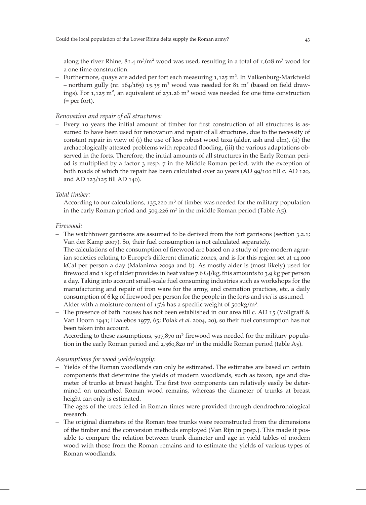along the river Rhine,  $81.4 \text{ m}^3/\text{m}^2$  wood was used, resulting in a total of  $1,628 \text{ m}^3$  wood for a one time construction.

- Furthermore, quays are added per fort each measuring 1,125 m<sup>2</sup>. In Valkenburg-Marktveld – northern gully (nr. 164/165) 15.35  $m^3$  wood was needed for 81  $m^2$  (based on field drawings). For 1,125 m<sup>2</sup>, an equivalent of 231.26 m<sup>3</sup> wood was needed for one time construction (= per fort).

# Renovation and repair of all structures:

– Every 10 years the initial amount of timber for first construction of all structures is assumed to have been used for renovation and repair of all structures, due to the necessity of constant repair in view of (i) the use of less robust wood taxa (alder, ash and elm), (ii) the archaeologically attested problems with repeated flooding, (iii) the various adaptations observed in the forts. Therefore, the initial amounts of all structures in the Early Roman period is multiplied by a factor  $\frac{1}{3}$  resp.  $\frac{1}{7}$  in the Middle Roman period, with the exception of both roads of which the repair has been calculated over 20 years (AD 99/100 till c. AD 120, and AD 123/125 till AD 140).

# Total timber:

– According to our calculations, 135,220  $m<sup>3</sup>$  of timber was needed for the military population in the early Roman period and  $509,226$  m<sup>3</sup> in the middle Roman period (Table A5).

# Firewood:

- The watchtower garrisons are assumed to be derived from the fort garrisons (section 3.2.1; Van der Kamp 2007). So, their fuel consumption is not calculated separately.
- The calculations of the consumption of firewood are based on a study of pre-modern agrarian societies relating to Europe's different climatic zones, and is for this region set at 14.000 kCal per person a day (Malanima 2009a and b). As mostly alder is (most likely) used for firewood and  $1 \text{ kg}$  of alder provides in heat value 7.6 GJ/kg, this amounts to 3,9 kg per person a day. Taking into account small-scale fuel consuming industries such as workshops for the manufacturing and repair of iron ware for the army, and cremation practices, etc, a daily consumption of 6 kg of firewood per person for the people in the forts and *vici* is assumed.
- Alder with a moisture content of  $15\%$  has a specific weight of 500kg/m<sup>3</sup>.
- The presence of bath houses has not been established in our area till c. AD 15 (Vollgraff  $\&$ Van Hoorn 1941; Haalebos 1977, 65; Polak et al. 2004, 20), so their fuel consumption has not been taken into account.
- According to these assumptions,  $597.870$  m<sup>3</sup> firewood was needed for the military population in the early Roman period and  $2,360,820$  m<sup>3</sup> in the middle Roman period (table A5).

# Assumptions for wood yields/supply:

- Yields of the Roman woodlands can only be estimated. The estimates are based on certain components that determine the yields of modern woodlands, such as taxon, age and diameter of trunks at breast height. The first two components can relatively easily be determined on unearthed Roman wood remains, whereas the diameter of trunks at breast height can only is estimated.
- The ages of the trees felled in Roman times were provided through dendrochronological research.
- The original diameters of the Roman tree trunks were reconstructed from the dimensions of the timber and the conversion methods employed (Van Rijn in prep.). This made it possible to compare the relation between trunk diameter and age in yield tables of modern wood with those from the Roman remains and to estimate the yields of various types of Roman woodlands.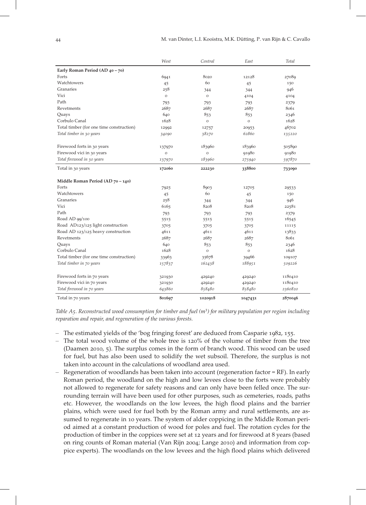|                                          | West    | Central      | East    | Total   |
|------------------------------------------|---------|--------------|---------|---------|
| Early Roman Period (AD 40 - 70)          |         |              |         |         |
| Forts                                    | 6941    | 8020         | 12128   | 27089   |
| Watchtowers                              | 45      | 60           | 45      | 150     |
| Granaries                                | 258     | 344          | 344     | 946     |
| Vici                                     | $\circ$ | $\mathcal O$ | 4104    | 4104    |
| Path                                     | 793     | 793          | 793     | 2379    |
| Revetments                               | 2687    | 2687         | 2687    | 8061    |
| Quays                                    | 640     | 853          | 853     | 2346    |
| Corbulo Canal                            | 1628    | $\circ$      | $\circ$ | 1628    |
| Total timber (for one time construction) | 12992   | 12757        | 20953   | 46702   |
| Total timber in 30 years                 | 34090   | 38270        | 62860   | 135220  |
| Firewood forts in 30 years               | 137970  | 183960       | 183960  | 505890  |
| Firewood vici in 30 years                | $\circ$ | $\circ$      | 91980   | 91980   |
| Total firewood in 30 years               | 137970  | 183960       | 275940  | 597870  |
| Total in 30 years                        | 172060  | 222230       | 338800  | 733090  |
| Middle Roman Period (AD 70 - 140)        |         |              |         |         |
| Forts                                    | 7925    | 8903         | 12705   | 29533   |
| Watchtowers                              | 45      | 60           | 45      | 150     |
| Granaries                                | 258     | 344          | 344     | 946     |
| Vici                                     | 6165    | 8208         | 8208    | 22581   |
| Path                                     | 793     | 793          | 793     | 2379    |
| Road AD 99/100                           | 5515    | 5515         | 5515    | 16545   |
| Road AD123/125 light construction        | 3705    | 3705         | 3705    | 11115   |
| Road AD 123/125 heavy construction       | 4611    | 4611         | 4611    | 13833   |
| Revetments                               | 2687    | 2687         | 2687    | 8061    |
| Quays                                    | 640     | 853          | 853     | 2346    |
| Corbulo Canal                            | 1628    | $\circ$      | $\circ$ | 1628    |
| Total timber (for one time construction) | 33963   | 35678        | 39466   | 109107  |
| Total timber in 70 years                 | 157837  | 162438       | 188951  | 509226  |
| Firewood forts in 70 years               | 321930  | 429240       | 429240  | 1180410 |
| Firewood vici in 70 years                | 321930  | 429240       | 429240  | 1180410 |
| Total firewood in 70 years               | 643860  | 858480       | 858480  | 2360820 |
| Total in 70 years                        | 801697  | 1020918      | 1047431 | 2870046 |

Table  $A_5$ . Reconstructed wood consumption for timber and fuel  $(m^3)$  for military population per region including reparation and repair, and regeneration of the various forests.

- The estimated yields of the 'bog fringing forest' are deduced from Casparie  $1982, 155$ .
- The total wood volume of the whole tree is  $120\%$  of the volume of timber from the tree (Daamen 2010,  $\overline{5}$ ). The surplus comes in the form of branch wood. This wood can be used for fuel, but has also been used to solidify the wet subsoil. Therefore, the surplus is not taken into account in the calculations of woodland area used.
- Regeneration of woodlands has been taken into account (regeneration factor = RF). In early Roman period, the woodland on the high and low levees close to the forts were probably not allowed to regenerate for safety reasons and can only have been felled once. The surrounding terrain will have been used for other purposes, such as cemeteries, roads, paths etc. However, the woodlands on the low levees, the high flood plains and the barrier plains, which were used for fuel both by the Roman army and rural settlements, are assumed to regenerate in 10 years. The system of alder coppicing in the Middle Roman period aimed at a constant production of wood for poles and fuel. The rotation cycles for the production of timber in the coppices were set at 12 years and for firewood at 8 years (based on ring counts of Roman material (Van Rijn 2004; Lange 2010) and information from coppice experts). The woodlands on the low levees and the high flood plains which delivered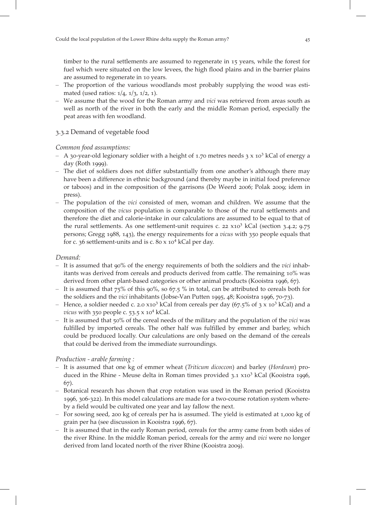timber to the rural settlements are assumed to regenerate in 15 years, while the forest for fuel which were situated on the low levees, the high flood plains and in the barrier plains are assumed to regenerate in 10 years.

- The proportion of the various woodlands most probably supplying the wood was estimated (used ratios:  $1/4$ ,  $1/3$ ,  $1/2$ , 1).
- We assume that the wood for the Roman army and vici was retrieved from areas south as well as north of the river in both the early and the middle Roman period, especially the peat areas with fen woodland.

# 3.3.2 Demand of vegetable food

# Common food assumptions:

- A 30-year-old legionary soldier with a height of 1.70 metres needs  $3 \times 10^3$  kCal of energy a day (Roth 1999).
- The diet of soldiers does not differ substantially from one another's although there may have been a difference in ethnic background (and thereby maybe in initial food preference or taboos) and in the composition of the garrisons (De Weerd 2006; Polak 2009; idem in press).
- The population of the vici consisted of men, woman and children. We assume that the composition of the vicus population is comparable to those of the rural settlements and therefore the diet and calorie-intake in our calculations are assumed to be equal to that of the rural settlements. As one settlement-unit requires c.  $22 \times 10^3$  kCal (section 3.4.2; 9.75) persons; Gregg 1988, 143), the energy requirements for a vicus with 350 people equals that for c.  $36$  settlement-units and is c.  $80 \times 10^4$  kCal per day.

# Demand:

- It is assumed that  $90\%$  of the energy requirements of both the soldiers and the *vici* inhabitants was derived from cereals and products derived from cattle. The remaining  $10\%$  was derived from other plant-based categories or other animal products (Kooistra 1996,  $67$ ).
- It is assumed that  $75\%$  of this 90%, so 67.5 % in total, can be attributed to cereals both for the soldiers and the *vici* inhabitants (Jobse-Van Putten 1995,  $48$ ; Kooistra 1996, 70-73).
- Hence, a soldier needed c. 2.0  $x10^3$  kCal from cereals per day (67.5% of 3 x  $10^3$  kCal) and a vicus with  $350$  people c.  $53.5 \times 10^4$  kCal.
- It is assumed that  $50\%$  of the cereal needs of the military and the population of the *vici* was fulfilled by imported cereals. The other half was fulfilled by emmer and barley, which could be produced locally. Our calculations are only based on the demand of the cereals that could be derived from the immediate surroundings.

# Production - arable farming :

- It is assumed that one kg of emmer wheat (Triticum dicoccon) and barley (Hordeum) produced in the Rhine - Meuse delta in Roman times provided  $3.1 \times 10^3$  kCal (Kooistra 1996, 67).
- Botanical research has shown that crop rotation was used in the Roman period (Kooistra 1996, 306-322). In this model calculations are made for a two-course rotation system whereby a field would be cultivated one year and lay fallow the next.
- For sowing seed, 200 kg of cereals per ha is assumed. The yield is estimated at  $1,000$  kg of grain per ha (see discussion in Kooistra 1996, 67).
- It is assumed that in the early Roman period, cereals for the army came from both sides of the river Rhine. In the middle Roman period, cereals for the army and vici were no longer derived from land located north of the river Rhine (Kooistra 2009).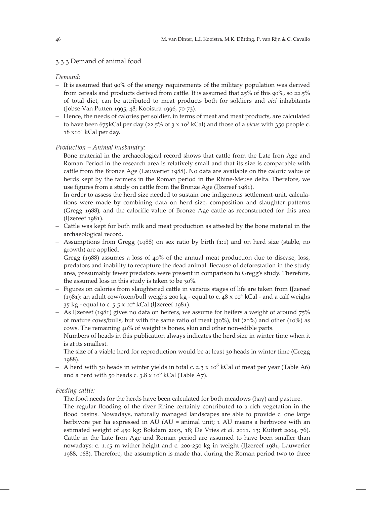# 3.3.3 Demand of animal food

# Demand:

- $-$  It is assumed that 90% of the energy requirements of the military population was derived from cereals and products derived from cattle. It is assumed that  $25\%$  of this  $90\%$ , so  $22.5\%$ of total diet, can be attributed to meat products both for soldiers and vici inhabitants (Jobse-Van Putten 1995, 48; Kooistra 1996, 70-73).
- Hence, the needs of calories per soldier, in terms of meat and meat products, are calculated to have been 675kCal per day (22.5% of  $3 \times 10^3$  kCal) and those of a vicus with  $350$  people c.  $18 \times 10^4$  kCal per day.

# Production – Animal husbandry:

- Bone material in the archaeological record shows that cattle from the Late Iron Age and Roman Period in the research area is relatively small and that its size is comparable with cattle from the Bronze Age (Lauwerier 1988). No data are available on the caloric value of herds kept by the farmers in the Roman period in the Rhine-Meuse delta. Therefore, we use figures from a study on cattle from the Bronze Age (IJzereef 1981).
- In order to assess the herd size needed to sustain one indigenous settlement-unit, calculations were made by combining data on herd size, composition and slaughter patterns (Gregg 1988), and the calorific value of Bronze Age cattle as reconstructed for this area  $(I|zereef 1981)$ .
- Cattle was kept for both milk and meat production as attested by the bone material in the archaeological record.
- $-$  Assumptions from Gregg (1988) on sex ratio by birth (1:1) and on herd size (stable, no growth) are applied.
- Gregg ( $1988$ ) assumes a loss of  $40\%$  of the annual meat production due to disease, loss, predators and inability to recapture the dead animal. Because of deforestation in the study area, presumably fewer predators were present in comparison to Gregg's study. Therefore, the assumed loss in this study is taken to be  $30\%$ .
- Figures on calories from slaughtered cattle in various stages of life are taken from IJzereef (1981): an adult cow/oxen/bull weighs 200 kg - equal to c.  $48 \times 10^4$  kCal - and a calf weighs 35 kg - equal to c.  $5.5 \times 10^4$  kCal (IJzereef 1981).
- As IJzereef (1981) gives no data on heifers, we assume for heifers a weight of around  $75\%$ of mature cows/bulls, but with the same ratio of meat ( $30\%$ ), fat ( $20\%$ ) and other ( $10\%$ ) as cows. The remaining 40% of weight is bones, skin and other non-edible parts.
- Numbers of heads in this publication always indicates the herd size in winter time when it is at its smallest.
- The size of a viable herd for reproduction would be at least 30 heads in winter time (Gregg 1988).
- A herd with 30 heads in winter yields in total c. 2.3 x  $10^6$  kCal of meat per year (Table A6) and a herd with 50 heads c.  $3.8 \times 10^6$  kCal (Table A7).

# Feeding cattle:

- The food needs for the herds have been calculated for both meadows (hay) and pasture.
- The regular flooding of the river Rhine certainly contributed to a rich vegetation in the flood basins. Nowadays, naturally managed landscapes are able to provide c. one large herbivore per ha expressed in AU (AU = animal unit; 1 AU means a herbivore with an estimated weight of  $450 \text{ kg}$ ; Bokdam 2003, 18; De Vries et al. 2011, 13; Kuitert 2004, 76). Cattle in the Late Iron Age and Roman period are assumed to have been smaller than nowadays: c. 1.15 m wither height and c. 200-250 kg in weight (IJzereef 1981; Lauwerier 1988, 168). Therefore, the assumption is made that during the Roman period two to three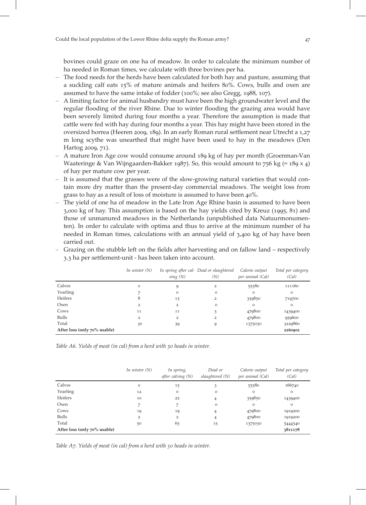bovines could graze on one ha of meadow. In order to calculate the minimum number of ha needed in Roman times, we calculate with three bovines per ha.

- The food needs for the herds have been calculated for both hay and pasture, assuming that a suckling calf eats  $15\%$  of mature animals and heifers 80%. Cows, bulls and oxen are assumed to have the same intake of fodder  $(100\%)$ ; see also Gregg, 1988, 107).
- A limiting factor for animal husbandry must have been the high groundwater level and the regular flooding of the river Rhine. Due to winter flooding the grazing area would have been severely limited during four months a year. Therefore the assumption is made that cattle were fed with hay during four months a year. This hay might have been stored in the oversized horrea (Heeren 2009, 189). In an early Roman rural settlement near Utrecht a 1,27 m long scythe was unearthed that might have been used to hay in the meadows (Den Hartog 2009, 71).
- $-$  A mature Iron Age cow would consume around  $189$  kg of hay per month (Groenman-Van Waateringe & Van Wijngaarden-Bakker 1987). So, this would amount to  $756 \text{ kg} (= 189 \text{ x } 4)$ of hay per mature cow per year.
- It is assumed that the grasses were of the slow-growing natural varieties that would contain more dry matter than the present-day commercial meadows. The weight loss from grass to hay as a result of loss of moisture is assumed to have been  $40\%$ .
- The yield of one ha of meadow in the Late Iron Age Rhine basin is assumed to have been  $3,000 \text{ kg}$  of hay. This assumption is based on the hay yields cited by Kreuz (1995, 81) and those of unmanured meadows in the Netherlands (unpublished data Natuurmonumenten). In order to calculate with optima and thus to arrive at the minimum number of ha needed in Roman times, calculations with an annual yield of  $3,400$  kg of hay have been carried out.
- Grazing on the stubble left on the fields after harvesting and on fallow land respectively 3.3 ha per settlement-unit - has been taken into account.

|                              | In winter $(N)$ | $\nu$ <i>ing</i> $(N)$ | In spring after cal- Dead or slaughtered<br>(N) | Calorie output<br>per animal (Cal) | Total per category<br>(Cal) |
|------------------------------|-----------------|------------------------|-------------------------------------------------|------------------------------------|-----------------------------|
| Calves                       | $\circ$         | 9                      | $\overline{2}$                                  | 55580                              | 111160                      |
| Yearling                     |                 | $\Omega$               | $\circ$                                         | $\circ$                            | $\mathbf{O}$                |
| Heifers                      | 8               | 15                     | 2                                               | 359850                             | 719700                      |
| Oxen                         | $\overline{2}$  | $\overline{2}$         | $\circ$                                         | $\circ$                            | $\mathbf{O}$                |
| Cows                         | 11              | 11                     |                                                 | 479800                             | 1439400                     |
| Bulls                        | $\overline{2}$  | $\overline{2}$         | $\overline{2}$                                  | 479800                             | 959600                      |
| Total                        | 30              | 39                     |                                                 | 1375030                            | 3229860                     |
| After loss (only 70% usable) |                 |                        |                                                 |                                    | 2260902                     |

Table A6. Yields of meat (in cal) from a herd with 30 heads in winter.

|                              | In winter $(N)$ | In spring,<br>after calving $(N)$ | Dead or<br>slaughtered (N) | Calorie output<br>per animal (Cal) | Total per category<br>(Cal) |
|------------------------------|-----------------|-----------------------------------|----------------------------|------------------------------------|-----------------------------|
| Calves                       | O               | 15                                |                            | 55580                              | 166740                      |
| Yearling                     | 12              | $\Omega$                          | $\circ$                    | O                                  | $\mathbf{O}$                |
| Heifers                      | 10              | 22                                | 4                          | 359850                             | 1439400                     |
| Oxen                         | 7               |                                   | $\circ$                    | $\circ$                            | $\mathbf{O}$                |
| Cows                         | 19              | 19                                | 4                          | 479800                             | 1919200                     |
| Bulls                        | $\overline{2}$  | $\overline{2}$                    | 4                          | 479800                             | 1919200                     |
| Total                        | 50              | 65                                | 15                         | 1375030                            | 5444540                     |
| After loss (only 70% usable) |                 |                                   |                            |                                    | 3811178                     |

Table  $A_7$ . Yields of meat (in cal) from a herd with  $50$  heads in winter.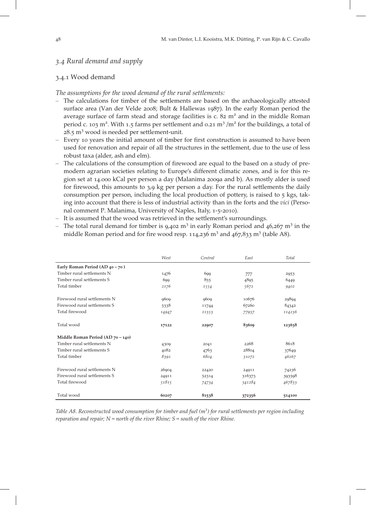# 3.4 Rural demand and supply

# 3.4.1 Wood demand

#### The assumptions for the wood demand of the rural settlements:

- The calculations for timber of the settlements are based on the archaeologically attested surface area (Van der Velde 2008; Bult & Hallewas 1987). In the early Roman period the average surface of farm stead and storage facilities is c.  $82 \text{ m}^2$  and in the middle Roman period c. 103 m<sup>2</sup>. With 1.5 farms per settlement and 0.21 m<sup>3</sup> /m<sup>2</sup> for the buildings, a total of  $28.5 \text{ m}^3$  wood is needed per settlement-unit.
- Every 10 years the initial amount of timber for first construction is assumed to have been used for renovation and repair of all the structures in the settlement, due to the use of less robust taxa (alder, ash and elm).
- The calculations of the consumption of firewood are equal to the based on a study of premodern agrarian societies relating to Europe's different climatic zones, and is for this region set at 14.000 kCal per person a day (Malanima 2009a and b). As mostly alder is used for firewood, this amounts to  $3.9$  kg per person a day. For the rural settlements the daily consumption per person, including the local production of pottery, is raised to  $5$  kgs, taking into account that there is less of industrial activity than in the forts and the vici (Personal comment P. Malanima, University of Naples, Italy, 1-5-2010).
- It is assumed that the wood was retrieved in the settlement's surroundings.
- The total rural demand for timber is  $9.402 \text{ m}^3$  in early Roman period and  $46.267 \text{ m}^3$  in the middle Roman period and for fire wood resp.  $114,236$  m<sup>3</sup> and  $467,833$  m<sup>3</sup> (table A8).

|                                   | West  | Central | East   | Total  |
|-----------------------------------|-------|---------|--------|--------|
| Early Roman Period (AD 40 - 70)   |       |         |        |        |
| Timber rural settlements N        | 1476  | 699     | 777    | 2953   |
| Timber rural settlements S        | 699   | 855     | 4895   | 6449   |
| Total timber                      | 2176  | 1554    | 5672   | 9402   |
| Firewood rural settlements N      | 9609  | 9609    | 10676  | 29894  |
| Firewood rural settlements S      | 5338  | 11744   | 67260  | 84342  |
| Total firewood                    | 14947 | 21353   | 77937  | 114236 |
| Total wood                        | 17122 | 22907   | 83609  | 123638 |
| Middle Roman Period (AD 70 - 140) |       |         |        |        |
| Timber rural settlements N        | 4309  | 2041    | 2268   | 8618   |
| Timber rural settlements S        | 4082  | 4763    | 28804  | 37649  |
| Total timber                      | 8392  | 6804    | 31072  | 46267  |
| Firewood rural settlements N      | 26904 | 22420   | 24911  | 74236  |
| Firewood rural settlements S      | 24911 | 52314   | 316373 | 393598 |
| Total firewood                    | 51815 | 74734   | 341284 | 467833 |
| Total wood                        | 60207 | 81538   | 372356 | 514100 |

Table A8. Reconstructed wood consumption for timber and fuel  $(m<sup>3</sup>)$  for rural settlements per region including reparation and repair;  $N =$  north of the river Rhine;  $S =$  south of the river Rhine.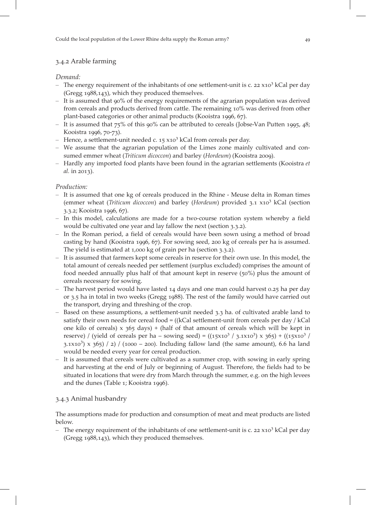# 3.4.2 Arable farming

# Demand:

- The energy requirement of the inhabitants of one settlement-unit is c.  $22 \times 10^3$  kCal per day  $(Gregg 1988, 143)$ , which they produced themselves.
- It is assumed that  $90\%$  of the energy requirements of the agrarian population was derived from cereals and products derived from cattle. The remaining 10% was derived from other plant-based categories or other animal products (Kooistra 1996, 67).
- It is assumed that  $75\%$  of this 90% can be attributed to cereals (Jobse-Van Putten 1995, 48; Kooistra 1996, 70-73).
- Hence, a settlement-unit needed c.  $15 \times 10^3$  kCal from cereals per day.
- We assume that the agrarian population of the Limes zone mainly cultivated and consumed emmer wheat (*Triticum dicoccon*) and barley (*Hordeum*) (Kooistra 2009).
- Hardly any imported food plants have been found in the agrarian settlements (Kooistra et  $al.$  in 2013).

# Production:

- It is assumed that one kg of cereals produced in the Rhine Meuse delta in Roman times (emmer wheat (Triticum dicoccon) and barley (Hordeum) provided  $3.1 \times 10^3$  kCal (section 3.3.2; Kooistra 1996, 67).
- In this model, calculations are made for a two-course rotation system whereby a field would be cultivated one year and lay fallow the next (section 3.3.2).
- In the Roman period, a field of cereals would have been sown using a method of broad casting by hand (Kooistra 1996, 67). For sowing seed, 200 kg of cereals per ha is assumed. The yield is estimated at  $1,000$  kg of grain per ha (section  $3.3.2$ ).
- It is assumed that farmers kept some cereals in reserve for their own use. In this model, the total amount of cereals needed per settlement (surplus excluded) comprises the amount of food needed annually plus half of that amount kept in reserve  $(50\%)$  plus the amount of cereals necessary for sowing.
- The harvest period would have lasted  $14$  days and one man could harvest 0.25 ha per day or 3.5 ha in total in two weeks (Gregg 1988). The rest of the family would have carried out the transport, drying and threshing of the crop.
- $-$  Based on these assumptions, a settlement-unit needed 3.3 ha. of cultivated arable land to satisfy their own needs for cereal food = ((kCal settlement-unit from cereals per day / kCal one kilo of cereals)  $x$  365 days) + (half of that amount of cereals which will be kept in reserve) / (yield of cereals per ha – sowing seed) =  $((15x10^3 / 3.1x10^3) \times 365) + ((15x10^3 / 3.1x10^3)$ 3.1×10<sup>3</sup>) x 365) / 2) / (1000 – 200). Including fallow land (the same amount), 6.6 ha land would be needed every year for cereal production.
- It is assumed that cereals were cultivated as a summer crop, with sowing in early spring and harvesting at the end of July or beginning of August. Therefore, the fields had to be situated in locations that were dry from March through the summer, e.g. on the high levees and the dunes (Table 1; Kooistra 1996).

# 3.4.3 Animal husbandry

The assumptions made for production and consumption of meat and meat products are listed below.

– The energy requirement of the inhabitants of one settlement-unit is c. 22  $\times$  x10<sup>3</sup> kCal per day (Gregg  $1988,143$ ), which they produced themselves.